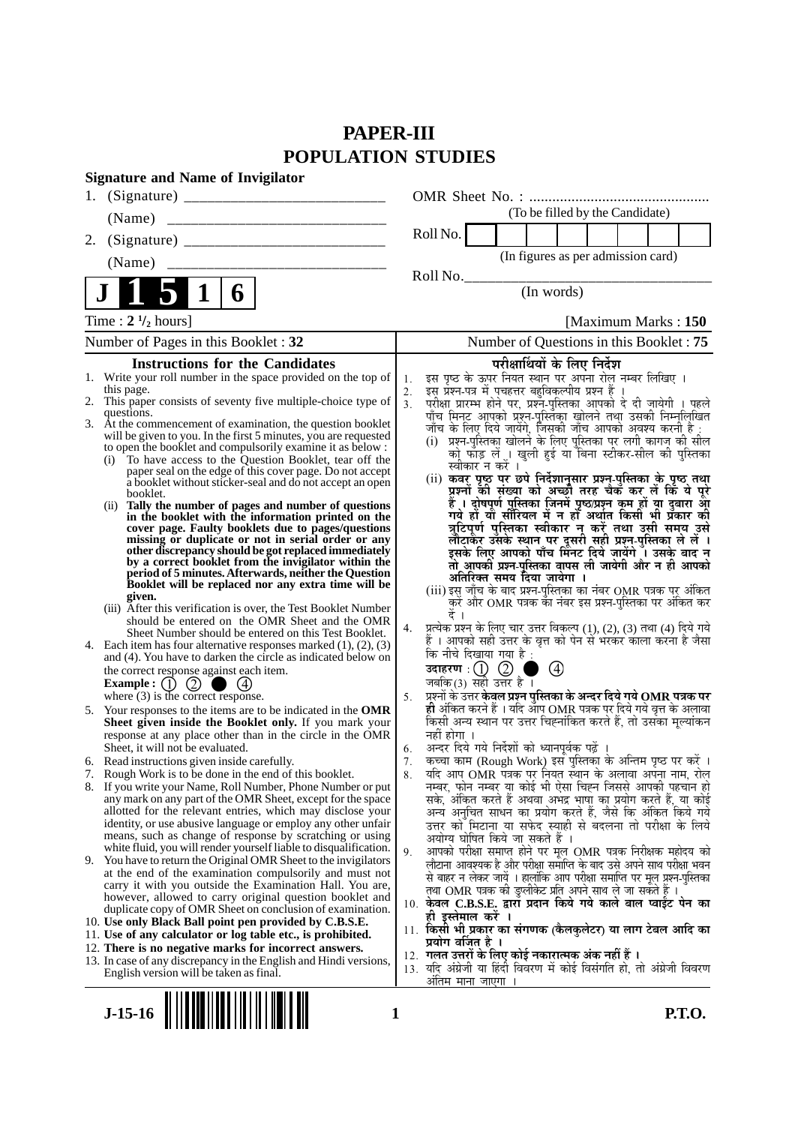# **PAPER-III POPULATION STUDIES**

|    | <b>Signature and Name of Invigilator</b>                                                                                                                                                                                                                                                                                                                                                                                                                                                                                                                                                                                                                                                                                                                                                                                                                                                                                                                                                                       |                            |                                                                                                 |                  |                                                                                                                                                                                                                                                                                                                                                                                                                                                                                                                                                                                                                                                                                                                                                                                                                                             |                                 |  |                      |
|----|----------------------------------------------------------------------------------------------------------------------------------------------------------------------------------------------------------------------------------------------------------------------------------------------------------------------------------------------------------------------------------------------------------------------------------------------------------------------------------------------------------------------------------------------------------------------------------------------------------------------------------------------------------------------------------------------------------------------------------------------------------------------------------------------------------------------------------------------------------------------------------------------------------------------------------------------------------------------------------------------------------------|----------------------------|-------------------------------------------------------------------------------------------------|------------------|---------------------------------------------------------------------------------------------------------------------------------------------------------------------------------------------------------------------------------------------------------------------------------------------------------------------------------------------------------------------------------------------------------------------------------------------------------------------------------------------------------------------------------------------------------------------------------------------------------------------------------------------------------------------------------------------------------------------------------------------------------------------------------------------------------------------------------------------|---------------------------------|--|----------------------|
| 1. |                                                                                                                                                                                                                                                                                                                                                                                                                                                                                                                                                                                                                                                                                                                                                                                                                                                                                                                                                                                                                |                            |                                                                                                 |                  |                                                                                                                                                                                                                                                                                                                                                                                                                                                                                                                                                                                                                                                                                                                                                                                                                                             |                                 |  |                      |
|    | (Name)                                                                                                                                                                                                                                                                                                                                                                                                                                                                                                                                                                                                                                                                                                                                                                                                                                                                                                                                                                                                         |                            |                                                                                                 |                  |                                                                                                                                                                                                                                                                                                                                                                                                                                                                                                                                                                                                                                                                                                                                                                                                                                             | (To be filled by the Candidate) |  |                      |
| 2. |                                                                                                                                                                                                                                                                                                                                                                                                                                                                                                                                                                                                                                                                                                                                                                                                                                                                                                                                                                                                                |                            | Roll No.                                                                                        |                  |                                                                                                                                                                                                                                                                                                                                                                                                                                                                                                                                                                                                                                                                                                                                                                                                                                             |                                 |  |                      |
|    | (Name)                                                                                                                                                                                                                                                                                                                                                                                                                                                                                                                                                                                                                                                                                                                                                                                                                                                                                                                                                                                                         |                            |                                                                                                 |                  | (In figures as per admission card)                                                                                                                                                                                                                                                                                                                                                                                                                                                                                                                                                                                                                                                                                                                                                                                                          |                                 |  |                      |
|    |                                                                                                                                                                                                                                                                                                                                                                                                                                                                                                                                                                                                                                                                                                                                                                                                                                                                                                                                                                                                                |                            | Roll No.                                                                                        |                  |                                                                                                                                                                                                                                                                                                                                                                                                                                                                                                                                                                                                                                                                                                                                                                                                                                             |                                 |  |                      |
|    | 6                                                                                                                                                                                                                                                                                                                                                                                                                                                                                                                                                                                                                                                                                                                                                                                                                                                                                                                                                                                                              |                            |                                                                                                 |                  |                                                                                                                                                                                                                                                                                                                                                                                                                                                                                                                                                                                                                                                                                                                                                                                                                                             | (In words)                      |  |                      |
|    | Time : $2 \frac{1}{2}$ hours]                                                                                                                                                                                                                                                                                                                                                                                                                                                                                                                                                                                                                                                                                                                                                                                                                                                                                                                                                                                  |                            |                                                                                                 |                  |                                                                                                                                                                                                                                                                                                                                                                                                                                                                                                                                                                                                                                                                                                                                                                                                                                             |                                 |  | [Maximum Marks: 150] |
|    | Number of Pages in this Booklet: 32                                                                                                                                                                                                                                                                                                                                                                                                                                                                                                                                                                                                                                                                                                                                                                                                                                                                                                                                                                            |                            |                                                                                                 |                  | Number of Questions in this Booklet: 75                                                                                                                                                                                                                                                                                                                                                                                                                                                                                                                                                                                                                                                                                                                                                                                                     |                                 |  |                      |
|    | <b>Instructions for the Candidates</b>                                                                                                                                                                                                                                                                                                                                                                                                                                                                                                                                                                                                                                                                                                                                                                                                                                                                                                                                                                         |                            |                                                                                                 |                  | परीक्षार्थियों के लिए निर्देश                                                                                                                                                                                                                                                                                                                                                                                                                                                                                                                                                                                                                                                                                                                                                                                                               |                                 |  |                      |
|    | 1. Write your roll number in the space provided on the top of<br>this page.<br>2. This paper consists of seventy five multiple-choice type of<br>questions.<br>3. At the commencement of examination, the question booklet<br>will be given to you. In the first 5 minutes, you are requested<br>to open the booklet and compulsorily examine it as below :<br>To have access to the Question Booklet, tear off the<br>(i)<br>paper seal on the edge of this cover page. Do not accept<br>a booklet without sticker-seal and do not accept an open<br>booklet.<br>Tally the number of pages and number of questions<br>(ii)<br>in the booklet with the information printed on the<br>cover page. Faulty booklets due to pages/questions                                                                                                                                                                                                                                                                        | 1.<br>2.<br>3 <sub>1</sub> |                                                                                                 | स्वीकार न करें । | इस पृष्ठ के ऊपर नियत स्थान पर अपना रोल नम्बर लिखिए ।<br>इस प्रश्न-पत्र में पचहत्तर बहुविकल्पीय प्रश्न हैं ।<br>परीक्षा प्रारम्भ होने पर, प्रश्नॅ-पुस्तिका आपको दे दी जायेगी । पहले<br>पाँच मिनट आपको प्रश्नॅ-पुस्तिका खोलने तथा उसकी निम्नूलिखित<br>जाँच के लिए दिये जायेंगे, जिसकी जाँच आपको अवश्य करनी है :<br>(i) प्रश्न-पुस्तिका खोलने के लिए पुस्तिका पर लगी कागज़ की सील<br>को फाँड़ लें । खुली हुई या बिना स्टीकर-सील की पुस्तिका<br>(ii) कवर पृष्ठ पर छपे निर्देशानुसार प्रश्न्-पुस्तिका के पृष्ठ तथा<br>प्रश्नों की संख्या को अच्छी तरह चेक कर लें कि ये पूरे<br>हैं । दोषपूर्ण पुस्तिका जि़नमें पृष्ठ/प्रश्न कूम हों या दुबारा आूँ<br>गये हों यो सीरियल में न हों अर्थात किसी भी प्रॅकार की<br>त्रुटिपूर्ण पुस्तिका स्वीकार नू करें तथा उसी समय उसे                                                                               |                                 |  |                      |
|    | missing or duplicate or not in serial order or any<br>other discrepancy should be got replaced immediately<br>by a correct booklet from the invigilator within the<br>period of 5 minutes. Afterwards, neither the Question<br>Booklet will be replaced nor any extra time will be<br>given.<br>(iii) After this verification is over, the Test Booklet Number<br>should be entered on the OMR Sheet and the OMR<br>Sheet Number should be entered on this Test Booklet.<br>4. Each item has four alternative responses marked $(1)$ , $(2)$ , $(3)$<br>and (4). You have to darken the circle as indicated below on<br>the correct response against each item.<br>Example : $(1)$<br>$\circled{2}$                                                                                                                                                                                                                                                                                                            | 4.                         | कि नीचे दिखाया गया है :<br>उदाहरण $\,:\!(\mathrm{l})\,\,\mathbb{Q}$<br>जबकि $(3)$ सही उत्तर है। |                  | लौटाकैर उसके स्थान पर दूसरी सही प्रश्नु-पुस्तिका ले लें ।<br>इसके लिए आपको पाँच मिनट दिये जायेंगे । उसके बाद न<br>तो आपकी प्रश्न-पुस्तिका वापस ली जायेगी और न ही आपको<br>अतिरिक्त समय दिया जायेगा ।<br>(iii) इस जाँच के बाद प्रश्न-पुस्तिका का नंबर OMR पत्रक पर अंकित<br>क़रें और OMR पत्रक का नंबर इस प्रश्न-पुस्तिका पर अंकित कर<br>प्रत्येक प्रश्न के लिए चार उत्तर विकल्प (1), (2), (3) तथा (4) दिये गये<br>हैं । आपको सही उत्तर के वृत्त को पेन से भरकर काला करना है जैसा                                                                                                                                                                                                                                                                                                                                                             | $\bigcirc$                      |  |                      |
|    | where $(3)$ is the correct response.<br>5. Your responses to the items are to be indicated in the OMR<br>Sheet given inside the Booklet only. If you mark your<br>response at any place other than in the circle in the OMR<br>Sheet, it will not be evaluated.                                                                                                                                                                                                                                                                                                                                                                                                                                                                                                                                                                                                                                                                                                                                                | 5.<br>6.                   | नहीं होगा ।                                                                                     |                  | प्रश्नों के उत्तर केवल प्रश्न पुस्तिका के अन्दर दिये गये $\bf OMR$ पत्रक पर<br>ही अंकित करने हैं । यदि ऑप OMR पत्रक पर दिये गये वृत्त के अलावा<br>किसी अन्य स्थान पर उत्तर चिह्नांकित करते हैं, तो उसका मूल्यांकन<br>अन्दर दिये गये निर्देशों को ध्यानपूर्वक पढ़ें                                                                                                                                                                                                                                                                                                                                                                                                                                                                                                                                                                          |                                 |  |                      |
|    | 6. Read instructions given inside carefully.<br>Rough Work is to be done in the end of this booklet.                                                                                                                                                                                                                                                                                                                                                                                                                                                                                                                                                                                                                                                                                                                                                                                                                                                                                                           | 7.                         |                                                                                                 |                  | कृत्वा काम (Rough Work) इस पुस्तिका के अन्तिम पृष्ठ पर करें ।<br>यदि आप OMR पत्रक पर नियत स्थान के अलावा अपना नाम, राल्                                                                                                                                                                                                                                                                                                                                                                                                                                                                                                                                                                                                                                                                                                                     |                                 |  |                      |
|    | 8. If you write your Name, Roll Number, Phone Number or put<br>any mark on any part of the OMR Sheet, except for the space<br>allotted for the relevant entries, which may disclose your<br>identity, or use abusive language or employ any other unfair<br>means, such as change of response by scratching or using<br>white fluid, you will render yourself liable to disqualification.<br>9. You have to return the Original OMR Sheet to the invigilators<br>at the end of the examination compulsorily and must not<br>carry it with you outside the Examination Hall. You are,<br>however, allowed to carry original question booklet and<br>duplicate copy of OMR Sheet on conclusion of examination.<br>10. Use only Black Ball point pen provided by C.B.S.E.<br>11. Use of any calculator or log table etc., is prohibited.<br>12. There is no negative marks for incorrect answers.<br>13. In case of any discrepancy in the English and Hindi versions,<br>English version will be taken as final. | 8.<br>9.                   | ही इस्तेमाल करें ।<br>प्रयोग वर्जित है ।<br>अतिम माना जाएगा                                     |                  | नम्बर, फोन नम्बर या कोई भी ऐसा चिह्न जिससे आपकी पहचान हो<br>सके, अंकित करते हैं अथवा अभद्र भाषा का प्रयोग करते हैं, या कोई<br>अन्य अनचित साधन का प्रयोग करते हैं, जैसे कि अंकित किये गये<br>उत्तर को मिटाना या सफेद स्याही से बदलना तो परीक्षा के लिये<br>अयोग्य घोषित किये जा सकते हैं ।<br>आपको परीक्षा समाप्त होने पर मूल OMR पत्रक निरीक्षक महोदय को<br>लौटाना आवश्यक है और परीक्षा समाप्ति के बाद उसे अपने साथ परीक्षा भवन<br>से बाहर न लेकर जायें । हालांकि आप परीक्षा समाप्ति पर मूल प्रश्न-पुस्तिका<br>तथा OMR पत्रक की डुप्लीकेट प्रति अपने साथ ले जा सकते हैं ।<br>10. केवल C.B.S.E. द्वारा प्रदान किये गये काले बाल प्वाईंट पेन का<br>11. किसी भी प्रकार का संगणक (कैलकुलेटर) या लाग टेबल आदि का<br>12. गलत उत्तरों के लिए कोई नकारात्मक अंक नहीं हैं ।<br>13. यदि अंग्रेजी या हिंदी विवरण में कोई विसंगति हो, तो अंग्रेजी विवरण |                                 |  |                      |
|    | $J-15-16$                                                                                                                                                                                                                                                                                                                                                                                                                                                                                                                                                                                                                                                                                                                                                                                                                                                                                                                                                                                                      | 1                          |                                                                                                 |                  |                                                                                                                                                                                                                                                                                                                                                                                                                                                                                                                                                                                                                                                                                                                                                                                                                                             |                                 |  | <b>P.T.O.</b>        |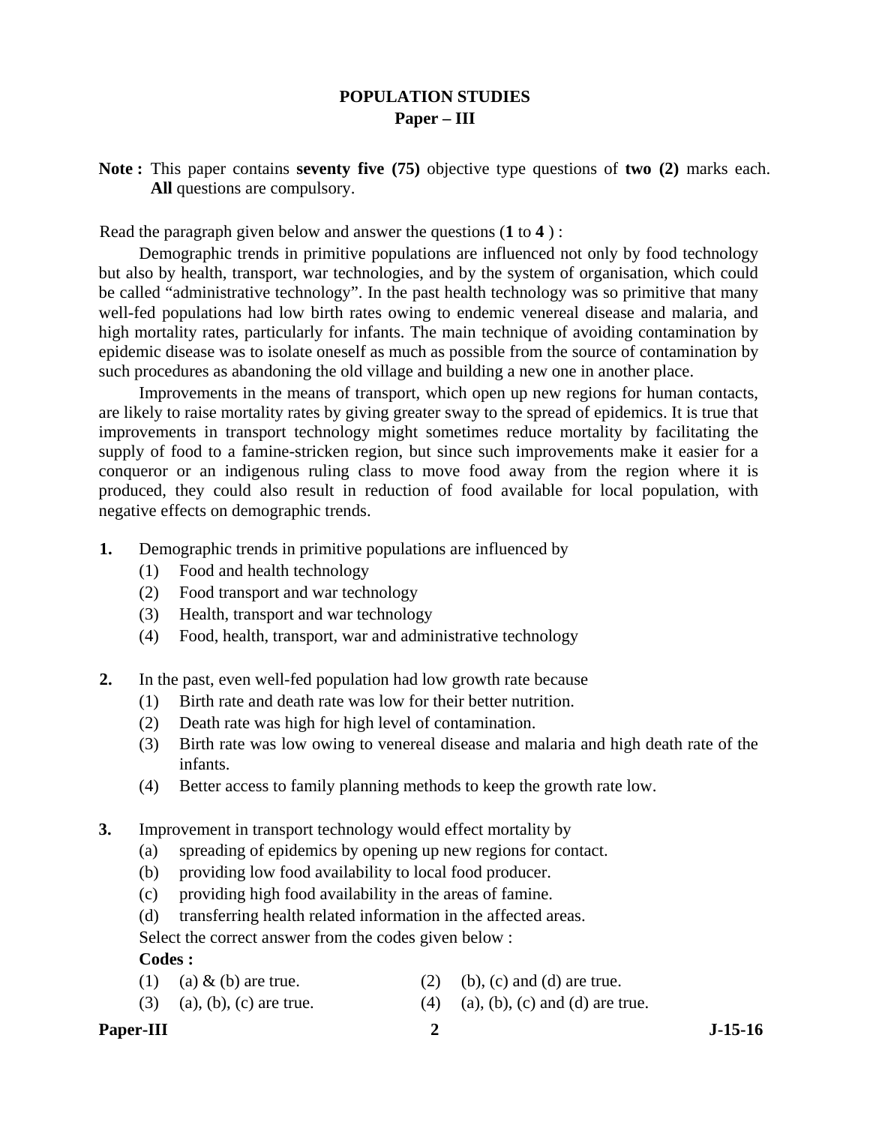# **POPULATION STUDIES Paper – III**

**Note :** This paper contains **seventy five (75)** objective type questions of **two (2)** marks each. **All** questions are compulsory.

Read the paragraph given below and answer the questions (**1** to **4** ) :

 Demographic trends in primitive populations are influenced not only by food technology but also by health, transport, war technologies, and by the system of organisation, which could be called "administrative technology". In the past health technology was so primitive that many well-fed populations had low birth rates owing to endemic venereal disease and malaria, and high mortality rates, particularly for infants. The main technique of avoiding contamination by epidemic disease was to isolate oneself as much as possible from the source of contamination by such procedures as abandoning the old village and building a new one in another place.

 Improvements in the means of transport, which open up new regions for human contacts, are likely to raise mortality rates by giving greater sway to the spread of epidemics. It is true that improvements in transport technology might sometimes reduce mortality by facilitating the supply of food to a famine-stricken region, but since such improvements make it easier for a conqueror or an indigenous ruling class to move food away from the region where it is produced, they could also result in reduction of food available for local population, with negative effects on demographic trends.

- **1.** Demographic trends in primitive populations are influenced by
	- (1) Food and health technology
	- (2) Food transport and war technology
	- (3) Health, transport and war technology
	- (4) Food, health, transport, war and administrative technology
- **2.** In the past, even well-fed population had low growth rate because
	- (1) Birth rate and death rate was low for their better nutrition.
	- (2) Death rate was high for high level of contamination.
	- (3) Birth rate was low owing to venereal disease and malaria and high death rate of the infants.
	- (4) Better access to family planning methods to keep the growth rate low.
- **3.** Improvement in transport technology would effect mortality by
	- (a) spreading of epidemics by opening up new regions for contact.
	- (b) providing low food availability to local food producer.
	- (c) providing high food availability in the areas of famine.
	- (d) transferring health related information in the affected areas.

Select the correct answer from the codes given below :

# **Codes :**

- (1) (a)  $\&$  (b) are true. (2) (b), (c) and (d) are true.
	-
- (3) (a), (b), (c) are true. (4) (a), (b), (c) and (d) are true.

# Paper-III 2 J-15-16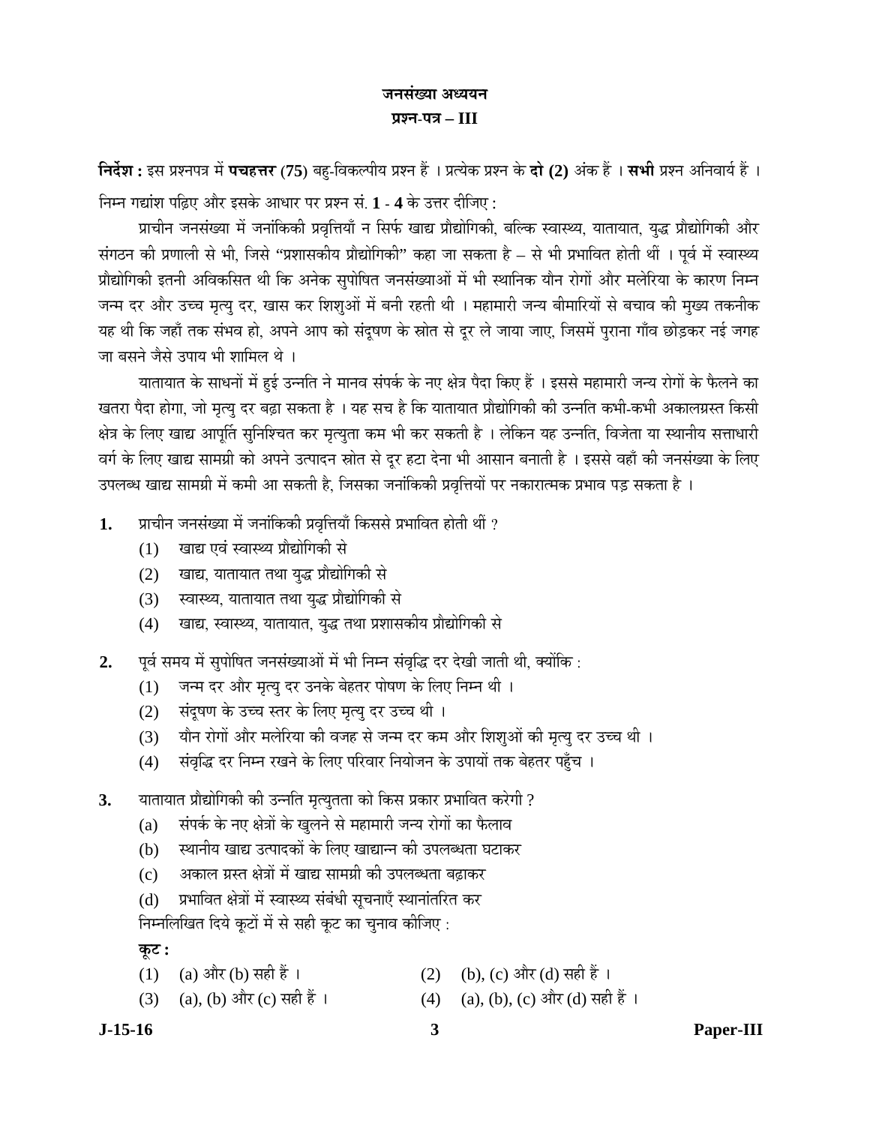# जनसंख्या अध्ययन **¯ÖÏ¿®Ö-¯Ö¡Ö – III**

**निर्देश :** इस प्रश्नपत्र में पचहत्तर (75) बहु-विकल्पीय प्रश्न हैं । प्रत्येक प्रश्न के दो (2) अंक हैं । सभी प्रश्न अनिवार्य हैं ।  $\overline{F}$ मन गद्यांश पढ़िए और इसके आधार पर प्रश्न सं. 1 - 4 के उत्तर दीजिए :

प्राचीन जनसंख्या में जनांकिकी प्रवृत्तियाँ न सिर्फ खाद्य प्रौद्योगिकी, बल्कि स्वास्थ्य, यातायात, युद्ध प्रौद्योगिकी और संगठन की प्रणाली से भी, जिसे "प्रशासकीय प्रौद्योगिकी" कहा जा सकता है – से भी प्रभावित होती थीं । पूर्व में स्वास्थ्य प्रौद्योगिकी इतनी अविकसित थी कि अनेक सुपोषित जनसंख्याओं में भी स्थानिक यौन रोगों और मलेरिया के कारण निम्न जन्म दर और उच्च मृत्यु दर, खास कर शिश्ओं में बनी रहती थी । महामारी जन्य बीमारियों से बचाव की मुख्य तकनीक यह थी कि जहाँ तक संभव हो, अपने आप को संदूषण के स्रोत से दूर ले जाया जाए, जिसमें पुराना गाँव छोड़कर नई जगह जा बसने जैसे उपाय भी शामिल थे ।

यातायात के साधनों में हुई उन्नति ने मानव संपर्क के नए क्षेत्र पैदा किए हैं । इससे महामारी जन्य रोगों के फैलने का खतरा पैदा होगा, जो मृत्यु दर बढ़ा सकता है । यह सच है कि यातायात प्रौद्योगिकी की उन्नति कभी-कभी अकालग्रस्त किसी क्षेत्र के लिए खाद्य आपूर्ति सुनिश्चित कर मृत्युता कम भी कर सकती है । लेकिन यह उन्नति, विजेता या स्थानीय सत्ताधारी वर्ग के लिए खाद्य सामग्री को अपने उत्पादन स्रोत से दूर हटा देना भी आसान बनाती है । इससे वहाँ की जनसंख्या के लिए उपलब्ध खाद्य सामग्री में कमी आ सकती है, जिसका जनांकिकी प्रवृत्तियों पर नकारात्मक प्रभाव पड़ सकता है ।

- 1. प्राचीन जनसंख्या में जनांकिकी प्रवृत्तियाँ किससे प्रभावित होती थीं ?
	- (1) खाद्य एवं स्वास्थ्य प्रौद्योगिकी से
	- (2) खाद्य, यातायात तथा युद्ध प्रौद्योगिकी से
	- (3) स्वास्थ्य, यातायात तथा युद्ध प्रौद्योगिकी से
	- (4) ⊂खाद्य, स्वास्थ्य, यातायात, युद्ध तथा प्रशासकीय प्रौद्योगिकी से
- 2. पूर्व समय में सुपोषित जनसंख्याओं में भी निम्न संवृद्धि दर देखी जाती थी, क्योंकि :
	- (1) जन्म दर और मृत्यु दर उनके बेहतर पोषण के लिए निम्न थी ।
	- (2) संदूषण के उच्च स्तर के लिए मृत्यु दर उच्च थी ।
	- (3) यौन रोगों और मलेरिया की वजह से जन्म दर कम और शिश्ओं की मृत्यु दर उच्च थी ।
	- (4) संवृद्धि दर निम्न रखने के लिए परिवार नियोजन के उपायों तक बेहतर पहुँच ।
- 3. यातायात प्रौद्योगिकी की उन्नति मृत्युतता को किस प्रकार प्रभावित करेगी ?
	- (a) संपर्क के नए क्षेत्रों के खुलने से महामारी जन्य रोगों का फैलाव
	- (b) स्थानीय खाद्य उत्पादकों के लिए खाद्यान्न की उपलब्धता घटाकर
	- (c) अकाल ग्रस्त क्षेत्रों में खाद्य सामग्री की उपलब्धता बढ़ाकर
	- (d) प्रभावित क्षेत्रों में स्वास्थ्य संबंधी सूचनाएँ स्थानांतरित कर

निम्नलिखित दिये कूटों में से सही कूट का चुनाव कीजिए :

**Ûæú™ü :** 

- (1) (a) और (b) सही हैं ।  $(2)$  (b), (c) और (d) सही हैं ।
- (3) (a), (b) और (c) सही हैं ।  $(4)$  (a), (b), (c) और (d) सही हैं ।

**J-15-16 3 Paper-III**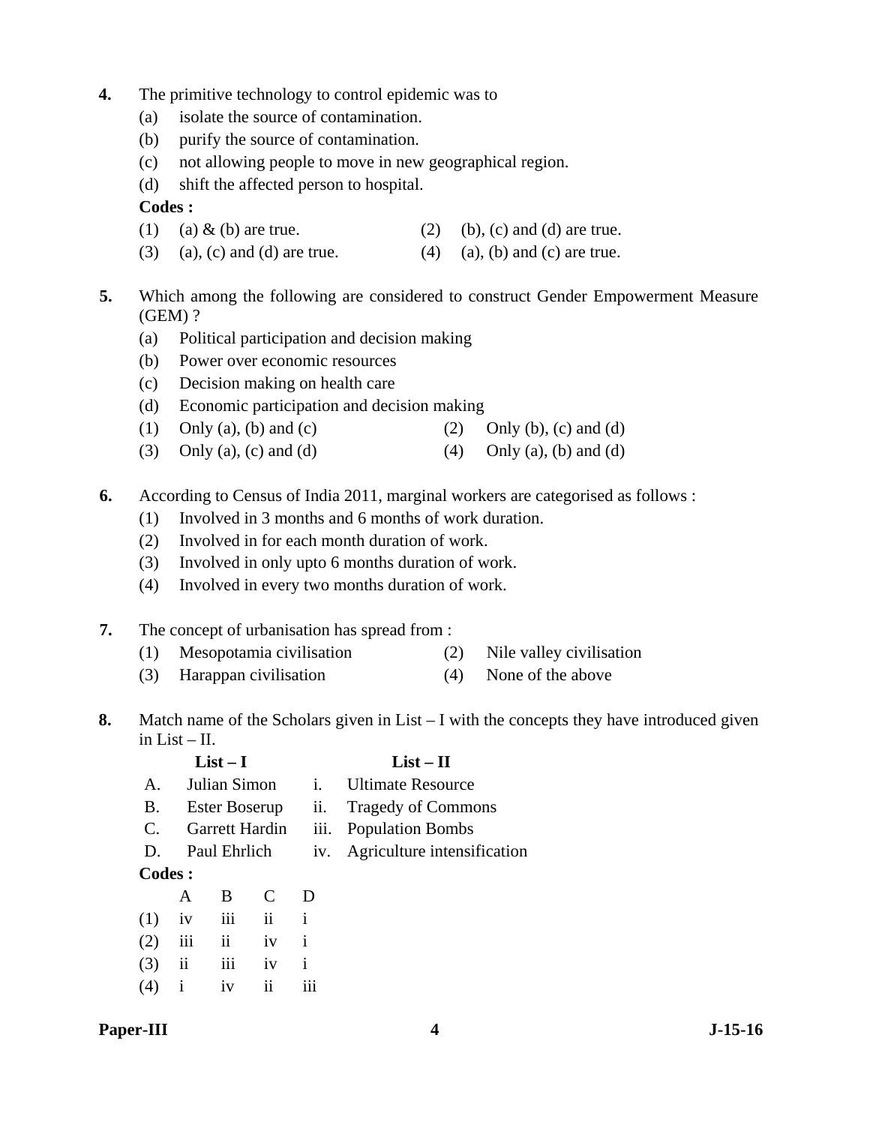- **4.** The primitive technology to control epidemic was to
	- (a) isolate the source of contamination.
	- (b) purify the source of contamination.
	- (c) not allowing people to move in new geographical region.
	- (d) shift the affected person to hospital.

# **Codes :**

- (1) (a)  $\&$  (b) are true. (2) (b), (c) and (d) are true.
- (3) (a), (c) and (d) are true. (4) (a), (b) and (c) are true.
- **5.** Which among the following are considered to construct Gender Empowerment Measure (GEM) ?
	- (a) Political participation and decision making
	- (b) Power over economic resources
	- (c) Decision making on health care
	- (d) Economic participation and decision making
	- (1) Only (a), (b) and (c) (2) Only (b), (c) and (d)
	- (3) Only (a), (c) and (d)  $(4)$  Only (a), (b) and (d)
- **6.** According to Census of India 2011, marginal workers are categorised as follows :
	- (1) Involved in 3 months and 6 months of work duration.
	- (2) Involved in for each month duration of work.
	- (3) Involved in only upto 6 months duration of work.
	- (4) Involved in every two months duration of work.
- **7.** The concept of urbanisation has spread from :
	- (1) Mesopotamia civilisation (2) Nile valley civilisation
	- (3) Harappan civilisation (4) None of the above
- **8.** Match name of the Scholars given in List I with the concepts they have introduced given in List – II.

|                       |                         | $List-I$                 |                     |                   | $List - II$                 |
|-----------------------|-------------------------|--------------------------|---------------------|-------------------|-----------------------------|
| $A_{\cdot}$           |                         | Julian Simon             |                     | i.                | <b>Ultimate Resource</b>    |
| <b>B.</b>             |                         | <b>Ester Boserup</b>     |                     | $\overline{11}$ . | <b>Tragedy of Commons</b>   |
| $\mathcal{C}_{\cdot}$ |                         | Garrett Hardin           |                     | 111.              | <b>Population Bombs</b>     |
| D.                    |                         | Paul Ehrlich             |                     | 1V <sub>1</sub>   | Agriculture intensification |
| <b>Codes:</b>         |                         |                          |                     |                   |                             |
|                       | A                       | B                        | C                   | D                 |                             |
| (1)                   | iv                      | iii                      | $\ddot{\mathbf{i}}$ | $\mathbf{i}$      |                             |
| (2)                   | iii                     | $\overline{\mathbf{ii}}$ | iv                  | i                 |                             |
| (3)                   | $\overline{\mathbf{u}}$ | iii                      | iv                  | i                 |                             |
| (4)                   | i                       | iv                       | ii                  | $\cdots$<br>111   |                             |
|                       |                         |                          |                     |                   |                             |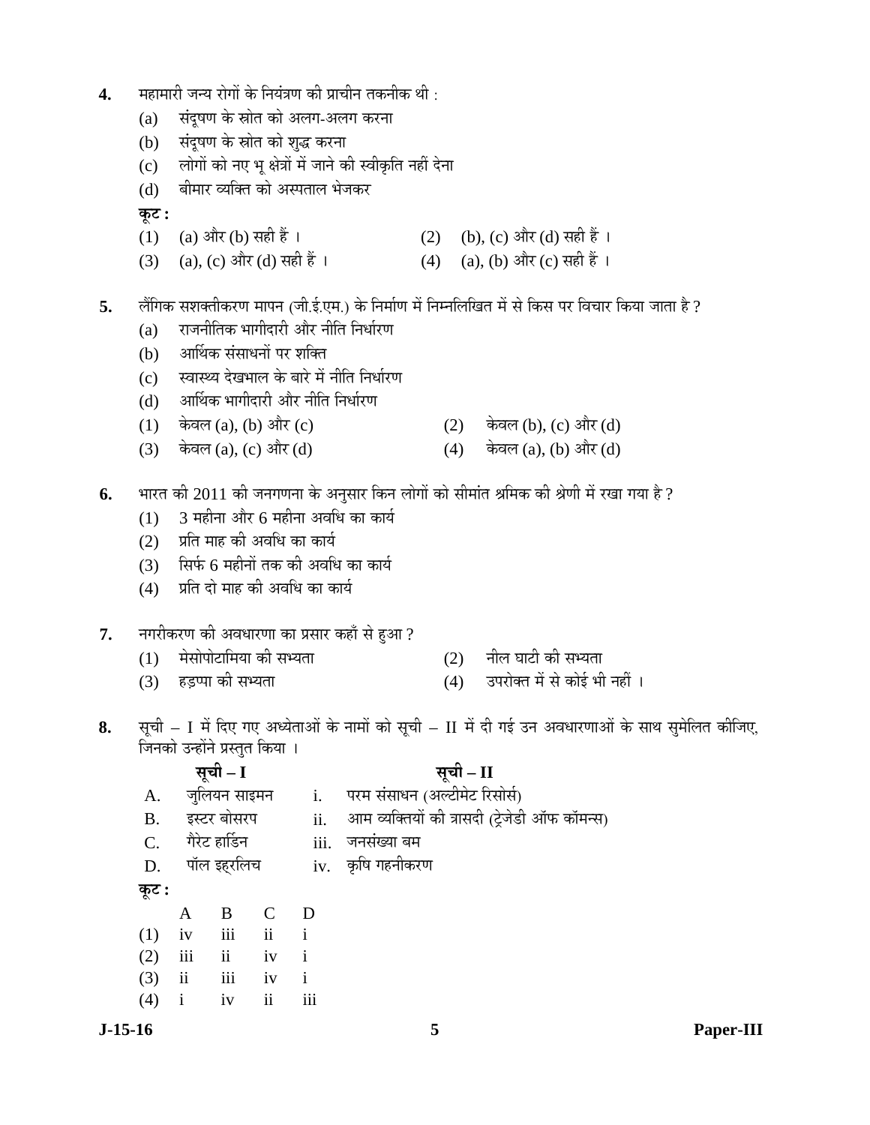- **4.** महामारी जन्य रोगों के नियंत्रण की प्राचीन तकनीक थी :
	- (a) संदूषण के स्रोत को अलग-अलग करना
	- (b) संदूषण के स्रोत को शुद्ध करना
	- (c) लोगों को नए भू क्षेत्रों में जाने की स्वीकृति नहीं देना
	- (d) । बीमार व्यक्ति को अस्पताल भेजकर

**Ûæú™ü :** 

- (1) (a) और (b) सही हैं । (2) (b), (c) और (d) सही हैं ।<br>(3) (a), (c) और (d) सही हैं । (4) (a), (b) और (c) सही हैं ।
- (3) (a), (c) और (d) सही हैं ।

5. लैंगिक सशक्तीकरण मापन (जी.ई.एम.) के निर्माण में निम्नलिखित में से किस पर विचार किया जाता है ?

- $(a)$  राजनीतिक भागीदारी और नीति निर्धारण
- (b) आर्थिक संसाधनों पर शक्ति
- (c) स्वास्थ्य देखभाल के बारे में नीति निर्धारण
- (d) आर्थिक भागीदारी और नीति निर्धारण
- (1)  $\vec{\phi}$ कवल(a), (b) और (c) (2)  $\vec{\phi}$ कवल(b), (c) और (d)
- (3) केवल (a), (c) और (d) (4) केवल (a), (b) और (d)
- **6.** भारत की 2011 की जनगणना के अनुसार किन लोगों को सीमांत श्रमिक की श्रेणी में रखा गया है ?
	- $(1)$  3 महीना और 6 महीना अवधि का कार्य
	- (2) प्रति माह की अवधि का कार्य
	- $(3)$  सिर्फ 6 महीनों तक की अवधि का कार्य
	- $(4)$  प्रति दो माह की अवधि का कार्य
- 7. नगरीकरण की अवधारणा का प्रसार कहाँ से हुआ ?
	- $(1)$  मेसोपोटामिया की सभ्यता  $(2)$  नील घाटी की सभ्यता
	- $(3)$  हडप्पा की सभ्यता  $(4)$  उपरोक्त में से कोई भी नहीं ।
- -
- 8. सूची I में दिए गए अध्येताओं के नामों को सूची II में दी गई उन अवधारणाओं के साथ सुमेलित कीजिए, जिनको उन्होंने प्रस्तुत किया ।

|             |              | सूची – I                                                             |                |                | सूची – II                                     |
|-------------|--------------|----------------------------------------------------------------------|----------------|----------------|-----------------------------------------------|
| A.          |              | जुलियन साइमन                                                         |                | $\mathbf{i}$ . | परम संसाधन (अल्टीमेट रिसोर्स)                 |
| <b>B.</b>   |              | इस्टर बोसरप                                                          |                | ii.            | आम व्यक्तियों की त्रासदी (ट्रेजेडी ऑफ कॉमन्स) |
| $C_{\cdot}$ |              | गैरेट हार्डिन                                                        |                |                | iii. जनसंख्या बम                              |
|             |              | D. पॉल इहरलिच                                                        |                |                | iv.  कृषि गहनीकरण                             |
| कूट :       |              |                                                                      |                |                |                                               |
|             | A            | $\mathbf{B}$                                                         | $\overline{C}$ | D              |                                               |
| (1)         | iv           | $\overline{\text{iii}}$ $\overline{\text{ii}}$ $\overline{\text{i}}$ |                |                |                                               |
| (2)         | iii          | ii iv                                                                |                | $\mathbf{i}$   |                                               |
| (3)         | ii iii       |                                                                      | iv             | $\mathbf{i}$   |                                               |
| (4)         | $\mathbf{i}$ | iv                                                                   | ii             | iii            |                                               |
|             |              |                                                                      |                |                |                                               |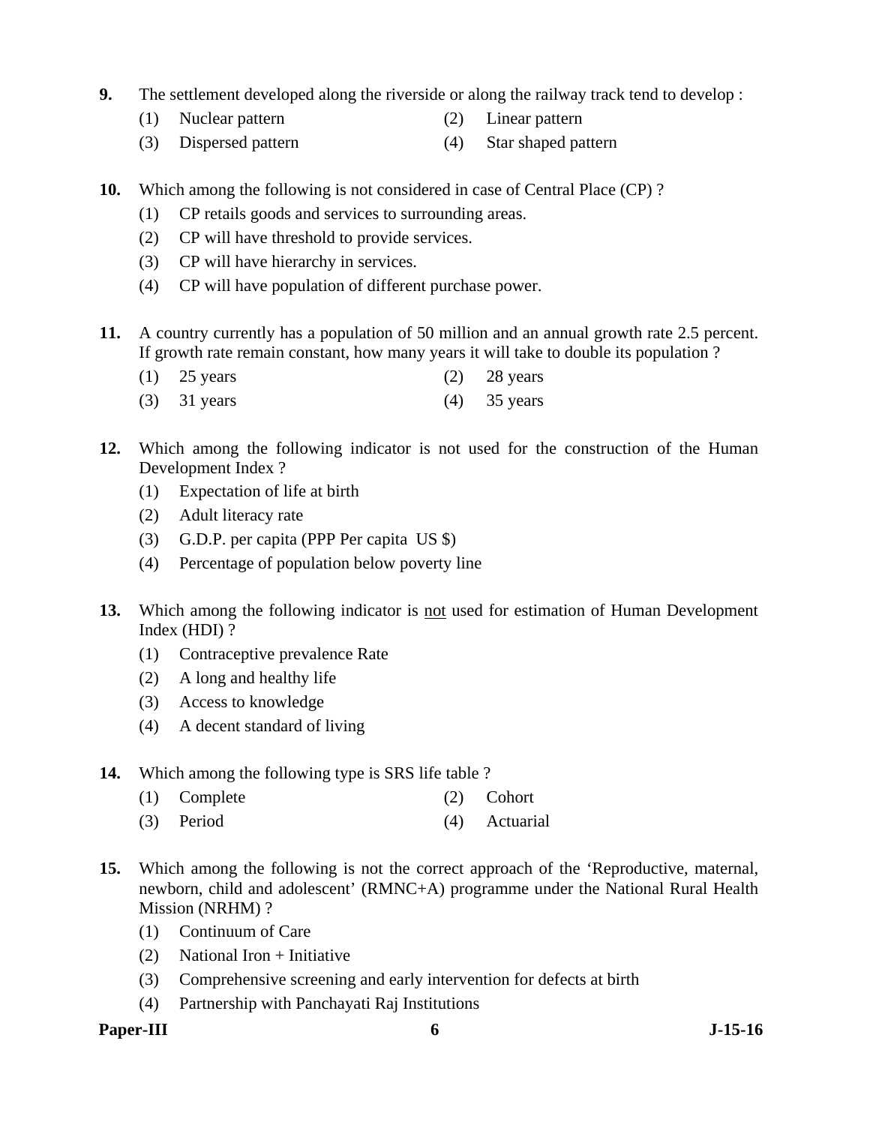- **9.** The settlement developed along the riverside or along the railway track tend to develop :
	- (1) Nuclear pattern (2) Linear pattern
	- (3) Dispersed pattern (4) Star shaped pattern
- **10.** Which among the following is not considered in case of Central Place (CP)?
	- (1) CP retails goods and services to surrounding areas.
	- (2) CP will have threshold to provide services.
	- (3) CP will have hierarchy in services.
	- (4) CP will have population of different purchase power.
- **11.** A country currently has a population of 50 million and an annual growth rate 2.5 percent. If growth rate remain constant, how many years it will take to double its population ?
	- (1) 25 years (2) 28 years
	- (3) 31 years (4) 35 years
- **12.** Which among the following indicator is not used for the construction of the Human Development Index ?
	- (1) Expectation of life at birth
	- (2) Adult literacy rate
	- (3) G.D.P. per capita (PPP Per capita US \$)
	- (4) Percentage of population below poverty line
- **13.** Which among the following indicator is not used for estimation of Human Development Index (HDI) ?
	- (1) Contraceptive prevalence Rate
	- (2) A long and healthy life
	- (3) Access to knowledge
	- (4) A decent standard of living
- **14.** Which among the following type is SRS life table ?
	- (1) Complete (2) Cohort
	- (3) Period (4) Actuarial
- **15.** Which among the following is not the correct approach of the 'Reproductive, maternal, newborn, child and adolescent' (RMNC+A) programme under the National Rural Health Mission (NRHM) ?
	- (1) Continuum of Care
	- (2) National Iron + Initiative
	- (3) Comprehensive screening and early intervention for defects at birth
	- (4) Partnership with Panchayati Raj Institutions
- **Paper-III 6 J-15-16**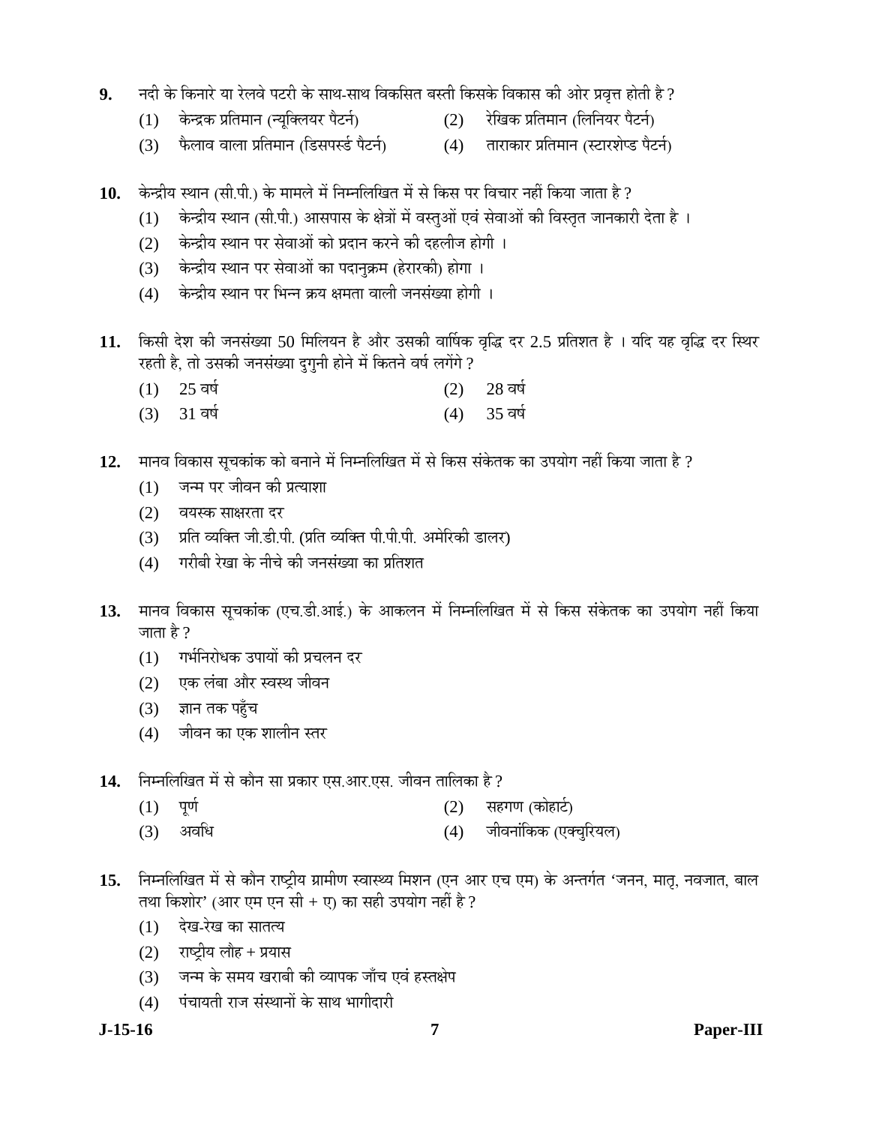- 9. नदी के किनारे या रेलवे पटरी के साथ-साथ विकसित बस्ती किसके विकास की ओर प्रवृत्त होती है ?
	- (1) केन्द्रक प्रतिमान (न्युक्लियर पैटर्न) (2) रेखिक प्रतिमान (लिनियर पैटर्न)
	- (3) फैलाव वाला प्रतिमान (डिसपर्स्ड पैटर्न) (4) ताराकार प्रतिमान (स्टारशेप्ड पैटर्न)
- 10. केन्द्रीय स्थान (सी.पी.) के मामले में निम्नलिखित में से किस पर विचार नहीं किया जाता है ?
	- (1) केन्द्रीय स्थान (सी.पी.) आसपास के क्षेत्रों में वस्तुओं एवं सेवाओं की विस्तृत जानकारी देता है ।
	- (2) केन्द्रीय स्थान पर सेवाओं को प्रदान करने की दहलीज होगी ।
	- (3) केन्द्रीय स्थान पर सेवाओं का पदानुक्रम (हेरारकी) होगा ।
	- (4) केन्द्रीय स्थान पर भिन्न क्रय क्षमता वाली जनसंख्या होगी ।
- 11. किसी देश की जनसंख्या 50 मिलियन है और उसकी वार्षिक वृद्धि दर 2.5 प्रतिशत है । यदि यह वृद्धि दर स्थिर रहती है, तो उसकी जनसंख्या दुगुनी होने में कितने वर्ष लगेंगे ?
	- $(1)$  25 वर्ष
	- (3) 31 वर्ष (4) 35 वर्ष
- 12. मानव विकास सुचकांक को बनाने में निम्नलिखित में से किस संकेतक का उपयोग नहीं किया जाता है ?
	- (1) जन्म पर जीवन की प्रत्याशा
	- (2) वयस्क साक्षरता दर
	- (3) प्रति व्यक्ति जी.डी.पी. (प्रति व्यक्ति पी.पी.पी. अमेरिकी डालर)
	- (4) गरीबी रेखा के नीचे की जनसंख्या का प्रतिशत
- 13. मानव विकास सूचकांक (एच.डी.आई.) के आकलन में निम्नलिखित में से किस संकेतक का उपयोग नहीं किया जाता है ?
	- (1) गर्भनिरोधक उपायों की प्रचलन दर
	- (2) एक लंबा और स्वस्थ जीवन
	- $(3)$  ज्ञान तक पहुँच
	- (4) जीवन का एक शालीन स्तर
- 14. निम्नलिखित में से कौन सा प्रकार एस.आर.एस. जीवन तालिका है ?
	- (1) ¯ÖæÞÖÔ (2) ÃÖÆüÝÖÞÖ (ÛúÖêÆüÖ™Ôü)
	- (3) अवधि (4) जीवनांकिक (एक्चरियल)
- 15. Fiम्नलिखित में से कौन राष्ट्रीय ग्रामीण स्वास्थ्य मिशन (एन आर एच एम) के अन्तर्गत 'जनन, मातृ, नवजात, बाल तथा किशोर' (आर एम एन सी + ए) का सही उपयोग नहीं है ?
	- $(1)$  देख-रेख का सातत्य
	- $(2)$  राष्ट्रीय लौह + प्रयास
	- (3) जन्म के समय खराबी की व्यापक जाँच एवं हस्तक्षेप
	- (4) पंचायती राज संस्थानों के साथ भागीदारी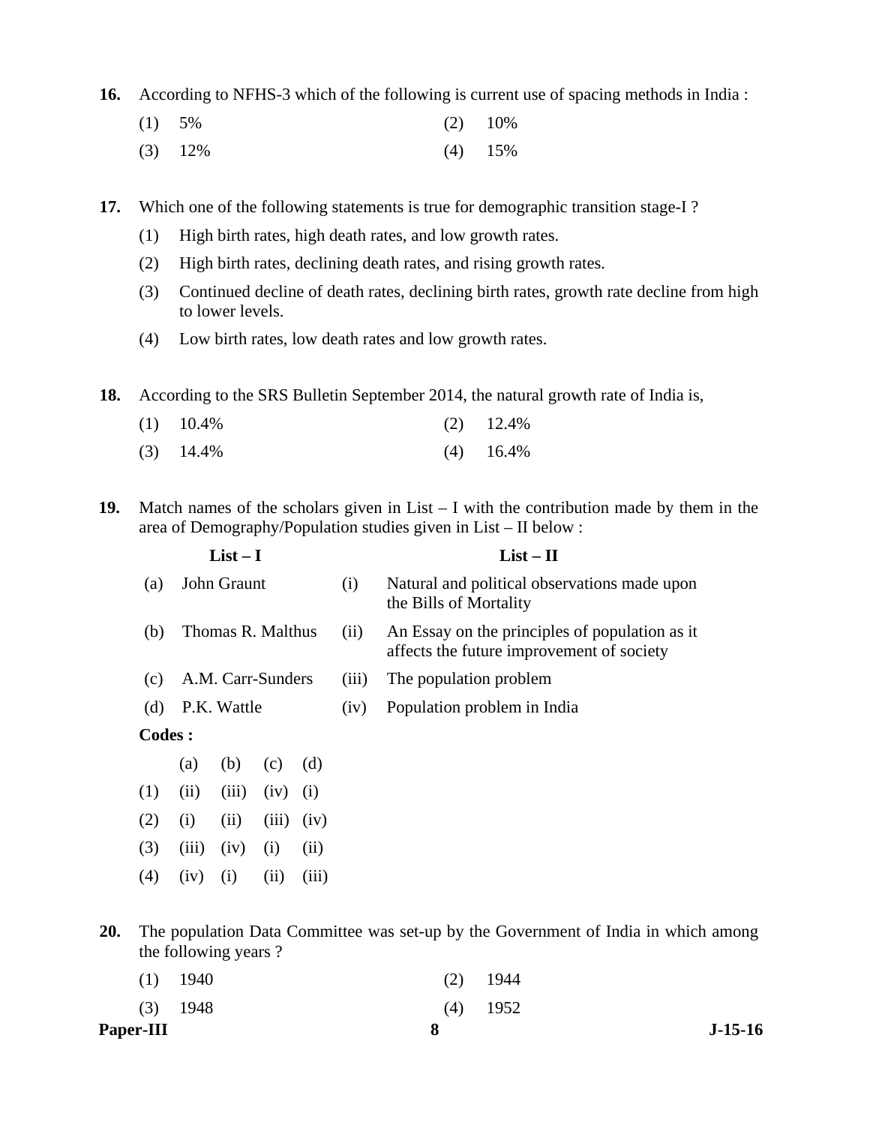**16.** According to NFHS-3 which of the following is current use of spacing methods in India :

- (1) 5% (2) 10%
	- (3) 12% (4) 15%

**17.** Which one of the following statements is true for demographic transition stage-I ?

- (1) High birth rates, high death rates, and low growth rates.
- (2) High birth rates, declining death rates, and rising growth rates.
- (3) Continued decline of death rates, declining birth rates, growth rate decline from high to lower levels.
- (4) Low birth rates, low death rates and low growth rates.

**18.** According to the SRS Bulletin September 2014, the natural growth rate of India is,

| $(1)$ 10.4% | $(2)$ 12.4% |
|-------------|-------------|
| $(3)$ 14.4% | $(4)$ 16.4% |

**19.** Match names of the scholars given in List – I with the contribution made by them in the area of Demography/Population studies given in List – II below :

|               |       | $List-I$           |       |       |       | $List - II$                                                                                 |
|---------------|-------|--------------------|-------|-------|-------|---------------------------------------------------------------------------------------------|
| (a)           |       | John Graunt        |       |       | (i)   | Natural and political observations made upon<br>the Bills of Mortality                      |
| (b)           |       | Thomas R. Malthus  |       |       | (ii)  | An Essay on the principles of population as it<br>affects the future improvement of society |
| (c)           |       | A.M. Carr-Sunders  |       |       | (iii) | The population problem                                                                      |
| (d)           |       | P.K. Wattle        |       |       | (iv)  | Population problem in India                                                                 |
| <b>Codes:</b> |       |                    |       |       |       |                                                                                             |
|               | (a)   | (b)                | (c)   | (d)   |       |                                                                                             |
| (1)           | (ii)  | (iii)              | (iv)  | (i)   |       |                                                                                             |
| (2)           | (i)   | (ii)               | (iii) | (iv)  |       |                                                                                             |
| (3)           | (iii) | (iv)               | (1)   | (ii)  |       |                                                                                             |
| (4)           | (1V)  | $\left( 1 \right)$ | (11)  | (iii) |       |                                                                                             |

**20.** The population Data Committee was set-up by the Government of India in which among the following years ?

| <b>Paper-III</b> |            | 8 |            | $J-15-16$ |
|------------------|------------|---|------------|-----------|
|                  | $(3)$ 1948 |   | $(4)$ 1952 |           |
|                  | $(1)$ 1940 |   | $(2)$ 1944 |           |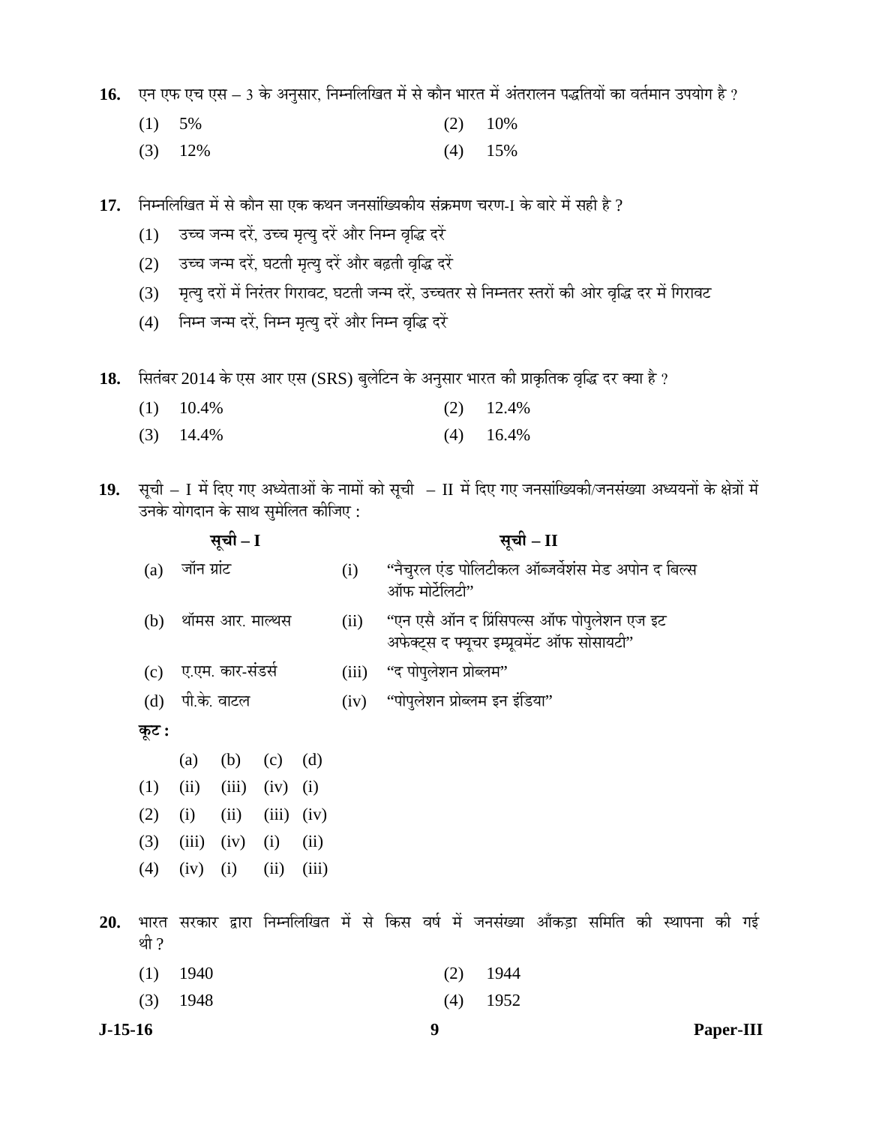16. vन एफ एच एस – 3 के अनुसार, निम्नलिखित में से कौन भारत में अंतरालन पद्धतियों का वर्तमान उपयोग है ?

- (1) 5% (2) 10%
	- (3) 12% (4) 15%
- 17. Fiम्नलिखित में से कौन सा एक कथन जनसांख्यिकीय संक्रमण चरण-I के बारे में सही है ?
	- (1) उच्च जन्म दरें, उच्च मृत्यु दरें और निम्न वृद्धि दरें
	- (2) उच्च जन्म दरें, घटती मृत्यु दरें और बढ़ती वृद्धि दरें
	- (3) मृत्यु दरों में निरंतर गिरावट, घटती जन्म दरें, उच्चतर से निम्नतर स्तरों की ओर वृद्धि दर में गिरावट
	- (4) निम्न जन्म दरें, निम्न मृत्यु दरें और निम्न वृद्धि दरें
- 18. सितंबर 2014 के एस आर एस (SRS) बुलेटिन के अनुसार भारत की प्राकृतिक वृद्धि दर क्या है ?
	- (1) 10.4% (2) 12.4%
	- (3) 14.4% (4) 16.4%
- 19. सूची I में दिए गए अध्येताओं के नामों को सूची II में दिए गए जनसांख्यिकी/जनसंख्या अध्ययनों के क्षेत्रों में उनके योगदान के साथ सुमेलित कीजिए :

|     |              |             | सूची – I         |       |       |       | सूची – II |                                                                      |  |                                                                                           |  |  |           |  |  |  |  |
|-----|--------------|-------------|------------------|-------|-------|-------|-----------|----------------------------------------------------------------------|--|-------------------------------------------------------------------------------------------|--|--|-----------|--|--|--|--|
|     | (a)          | जॉन ग्रांट  |                  |       |       | (i)   |           | ''नैचुरल एंड पोलिटीकल ऑब्जर्वेशंस मेड अपोन द बिल्स<br>ऑफ मोर्टेलिटी" |  |                                                                                           |  |  |           |  |  |  |  |
|     | (b)          |             | थॉमस आर. माल्थस  |       |       | (ii)  |           |                                                                      |  | ''एन एसै ऑन द प्रिंसिपल्स ऑफ पोपुलेशन एज इट<br>अफेक्ट्स द फ्यूचर इम्प्रूवमेंट ऑफ सोसायटी" |  |  |           |  |  |  |  |
|     | (c)          |             | ए.एम. कार-संडर्स |       |       | (iii) |           | ''द पोपुलेशन प्रोब्लम''                                              |  |                                                                                           |  |  |           |  |  |  |  |
|     | (d)          | पी.के. वाटल |                  |       |       | (iv)  |           | ''पोपुलेशन प्रोब्लम इन इंडिया''                                      |  |                                                                                           |  |  |           |  |  |  |  |
|     | कूट :        |             |                  |       |       |       |           |                                                                      |  |                                                                                           |  |  |           |  |  |  |  |
|     |              | (a)         | (b)              | (c)   | (d)   |       |           |                                                                      |  |                                                                                           |  |  |           |  |  |  |  |
|     | (1)          | (ii)        | (iii)            | (iv)  | (i)   |       |           |                                                                      |  |                                                                                           |  |  |           |  |  |  |  |
|     | (2)          | (i)         | (ii)             | (iii) | (iv)  |       |           |                                                                      |  |                                                                                           |  |  |           |  |  |  |  |
|     | (3)          | (iii)       | (iv)             | (i)   | (ii)  |       |           |                                                                      |  |                                                                                           |  |  |           |  |  |  |  |
|     | (4)          | (iv)        | (i)              | (ii)  | (iii) |       |           |                                                                      |  |                                                                                           |  |  |           |  |  |  |  |
| 20. | भारत<br>थी ? |             |                  |       |       |       |           |                                                                      |  | सरकार द्वारा निम्नलिखित में से किस वर्ष में जनसंख्या आँकड़ा समिति की स्थापना की गई        |  |  |           |  |  |  |  |
|     | (1)          | 1940        |                  |       |       |       |           | (2)                                                                  |  | 1944                                                                                      |  |  |           |  |  |  |  |
|     | (3)          | 1948        |                  |       |       |       |           | (4)                                                                  |  | 1952                                                                                      |  |  |           |  |  |  |  |
|     | $J-15-16$    |             |                  |       |       |       | 9         |                                                                      |  |                                                                                           |  |  | Paper-III |  |  |  |  |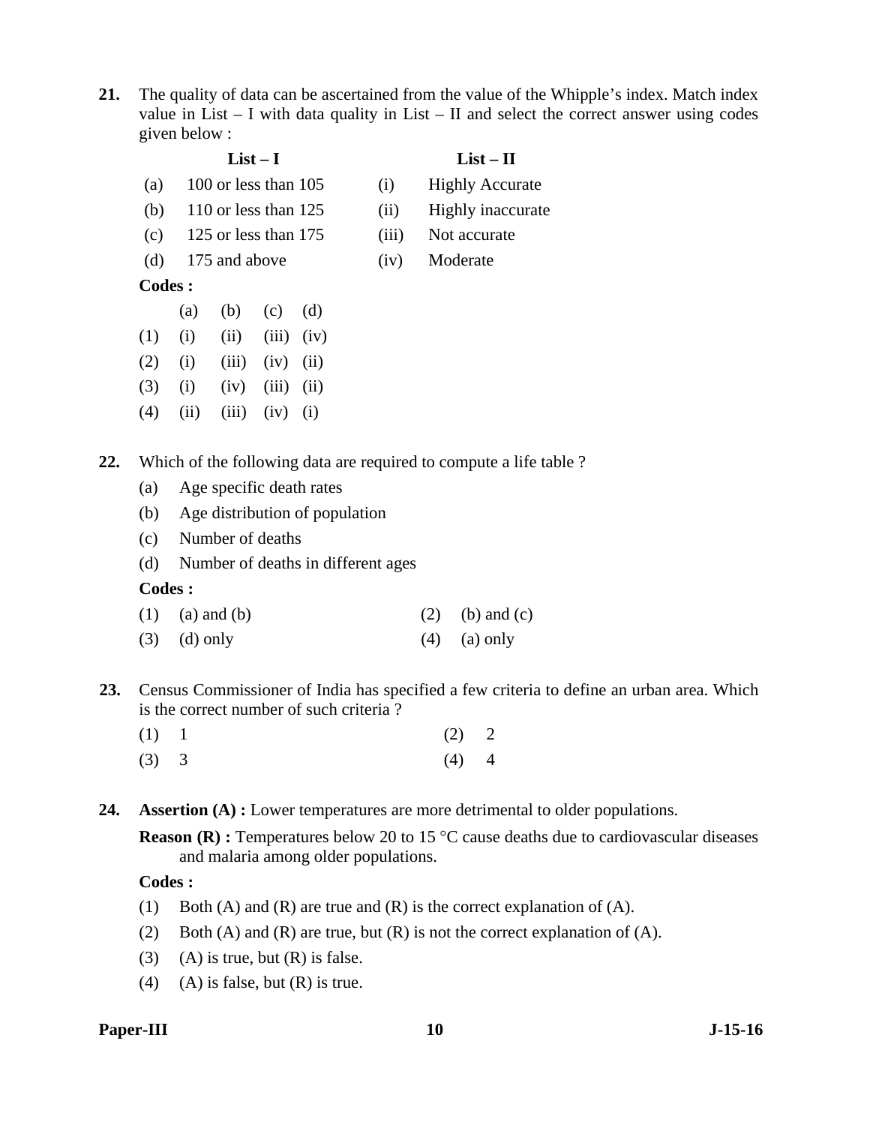**21.** The quality of data can be ascertained from the value of the Whipple's index. Match index value in List – I with data quality in List – II and select the correct answer using codes given below :

|               |      |                        | $List-I$ |      |       | $List-II$              |
|---------------|------|------------------------|----------|------|-------|------------------------|
| (a)           |      | 100 or less than $105$ |          |      | (i)   | <b>Highly Accurate</b> |
| (b)           |      | 110 or less than $125$ |          |      | (ii)  | Highly inaccurate      |
| (c)           |      | 125 or less than 175   |          |      | (iii) | Not accurate           |
| (d)           |      | 175 and above          |          |      | (iv)  | Moderate               |
| <b>Codes:</b> |      |                        |          |      |       |                        |
|               | (a)  | (b)                    | (c)      | (d)  |       |                        |
| (1)           | (i)  | (ii)                   | (iii)    | (iv) |       |                        |
| (2)           | (i)  | (iii)                  | (iv)     | (ii) |       |                        |
| (3)           | (i)  | (iv)                   | (iii)    | (ii) |       |                        |
| (4)           | (ii) | (iii)                  | (iv)     | (i)  |       |                        |

**22.** Which of the following data are required to compute a life table ?

- (a) Age specific death rates
- (b) Age distribution of population
- (c) Number of deaths
- (d) Number of deaths in different ages

#### **Codes :**

- (1) (a) and (b) (2) (b) and (c)
- (3) (d) only (4) (a) only
- **23.** Census Commissioner of India has specified a few criteria to define an urban area. Which is the correct number of such criteria ?
	- (1) 1 (2) 2  $(3)$  3  $(4)$  4
- **24. Assertion (A) :** Lower temperatures are more detrimental to older populations.

**Reason (R) :** Temperatures below 20 to 15 °C cause deaths due to cardiovascular diseases and malaria among older populations.

### **Codes :**

- (1) Both (A) and (R) are true and (R) is the correct explanation of (A).
- (2) Both (A) and (R) are true, but (R) is not the correct explanation of (A).
- (3) (A) is true, but  $(R)$  is false.
- (4) (A) is false, but  $(R)$  is true.

#### **Paper-III** J-15-16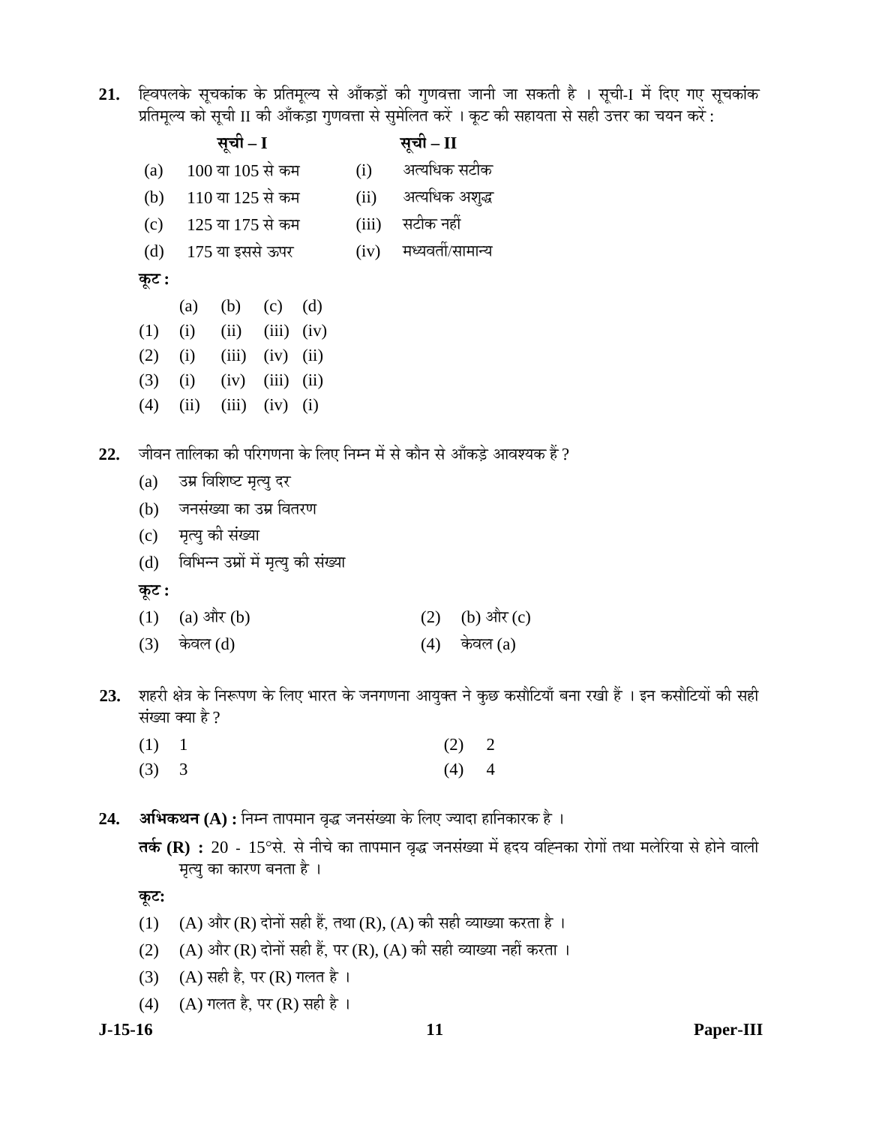21. ह्विपलके सूचकांक के प्रतिमूल्य से आँकड़ों की गुणवत्ता जानी जा सकती है । सूची-I में दिए गए सूचकांक प्रतिमूल्य को सूची II की आँकड़ा गुणवत्ता से सुमेलित करें । कूट की सहायता से सही उत्तर का चयन करें :

|     |       |      | सूची – I               |       |                                     |       | सूची – II         |                                                                       |  |  |
|-----|-------|------|------------------------|-------|-------------------------------------|-------|-------------------|-----------------------------------------------------------------------|--|--|
|     | (a)   |      | 100 या 105 से कम       |       |                                     | (i)   | अत्यधिक सटीक      |                                                                       |  |  |
|     | (b)   |      | 110 या 125 से कम       |       |                                     | (ii)  | अत्यधिक अशुद्ध    |                                                                       |  |  |
|     | (c)   |      | 125 या 175 से कम       |       |                                     | (iii) | सटीक नहीं         |                                                                       |  |  |
|     | (d)   |      | 175 या इससे ऊपर        |       |                                     | (iv)  | मध्यवर्ती/सामान्य |                                                                       |  |  |
|     | कूट : |      |                        |       |                                     |       |                   |                                                                       |  |  |
|     |       | (a)  | (b)                    | (c)   | (d)                                 |       |                   |                                                                       |  |  |
|     | (1)   | (i)  | (ii)                   | (iii) | (iv)                                |       |                   |                                                                       |  |  |
|     | (2)   | (i)  | (iii)                  | (iv)  | (ii)                                |       |                   |                                                                       |  |  |
|     | (3)   | (i)  | (iv)                   | (iii) | (ii)                                |       |                   |                                                                       |  |  |
|     | (4)   | (ii) | (iii)                  | (iv)  | (i)                                 |       |                   |                                                                       |  |  |
| 22. |       |      |                        |       |                                     |       |                   | जीवन तालिका की परिगणना के लिए निम्न में से कौन से आँकड़े आवश्यक हैं ? |  |  |
|     | (a)   |      | उम्र विशिष्ट मृत्यु दर |       |                                     |       |                   |                                                                       |  |  |
|     | (b)   |      | जनसंख्या का उम्र वितरण |       |                                     |       |                   |                                                                       |  |  |
|     | (c)   |      | मृत्यु की संख्या       |       |                                     |       |                   |                                                                       |  |  |
|     | (d)   |      |                        |       | विभिन्न उम्रों में मृत्यु की संख्या |       |                   |                                                                       |  |  |
|     | कूट : |      |                        |       |                                     |       |                   |                                                                       |  |  |
|     | (1)   |      | (a) और $(b)$           |       |                                     |       | (2)               | (b) और (c)                                                            |  |  |

- $(3)$  केवल  $(d)$  (4) केवल  $(a)$
- 23. शहरी क्षेत्र के निरूपण के लिए भारत के जनगणना आयुक्त ने कुछ कसौटियाँ बना रखी हैं । इन कसौटियों की सही संख्या क्या है ?
	- (1) 1 (2) 2  $(3)$  3  $(4)$  4
- 24. **अभिकथन** (A) : निम्न तापमान वृद्ध जनसंख्या के लिए ज्यादा हानिकारक है ।

**तर्क (R) :** 20 - 15°से. से नीचे का तापमान वृद्ध जनसंख्या में हृदय वह्निका रोगों तथा मलेरिया से होने वाली मृत्यु का कारण बनता है।

# **Ûæú™ü:**

- (1) (A) और (R) दोनों सही हैं, तथा (R), (A) की सही व्याख्या करता है ।
- (2) (A) और (R) दोनों सही हैं, पर (R), (A) की सही व्याख्या नहीं करता ।
- (3) (A) सही है, पर (R) गलत है।
- (4) (A) गलत है, पर (R) सही है ।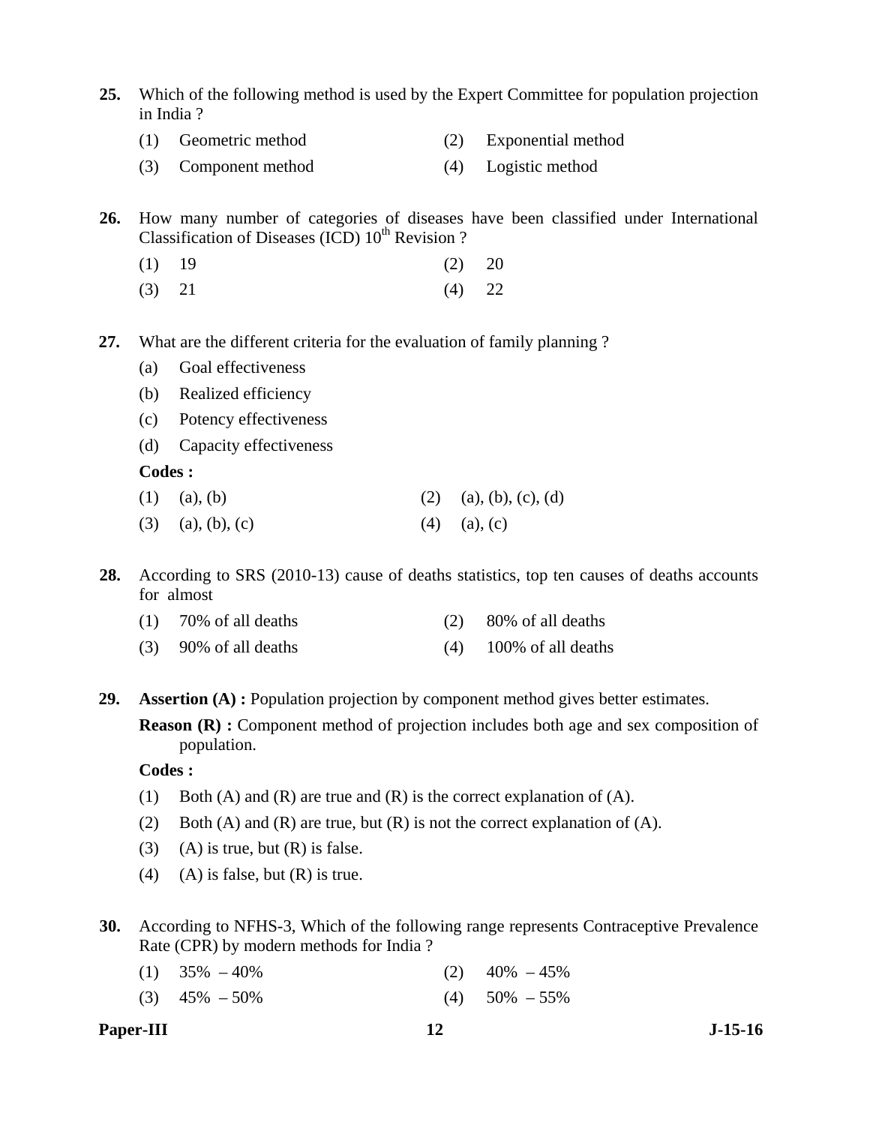- **25.** Which of the following method is used by the Expert Committee for population projection in India ?
	- (1) Geometric method (2) Exponential method
	- (3) Component method (4) Logistic method

**26.** How many number of categories of diseases have been classified under International Classification of Diseases (ICD)  $10^{th}$  Revision ?

- $(1)$  19  $(2)$  20
- (3) 21 (4) 22
- **27.** What are the different criteria for the evaluation of family planning ?
	- (a) Goal effectiveness
	- (b) Realized efficiency
	- (c) Potency effectiveness
	- (d) Capacity effectiveness

#### **Codes :**

- (1) (a), (b) (2) (a), (b), (c), (d)
- (3) (a), (b), (c) (4) (a), (c)

**28.** According to SRS (2010-13) cause of deaths statistics, top ten causes of deaths accounts for almost

- (1) 70% of all deaths (2) 80% of all deaths
- (3)  $90\%$  of all deaths (4)  $100\%$  of all deaths

**29. Assertion (A) :** Population projection by component method gives better estimates.

**Reason (R) :** Component method of projection includes both age and sex composition of population.

#### **Codes :**

- (1) Both (A) and (R) are true and (R) is the correct explanation of (A).
- (2) Both (A) and (R) are true, but  $(R)$  is not the correct explanation of  $(A)$ .
- (3) (A) is true, but  $(R)$  is false.
- (4) (A) is false, but  $(R)$  is true.
- **30.** According to NFHS-3, Which of the following range represents Contraceptive Prevalence Rate (CPR) by modern methods for India ?
	- (1)  $35\% 40\%$  (2)  $40\% 45\%$
	- (3)  $45\% 50\%$  (4)  $50\% 55\%$
- **Paper-III** J-15-16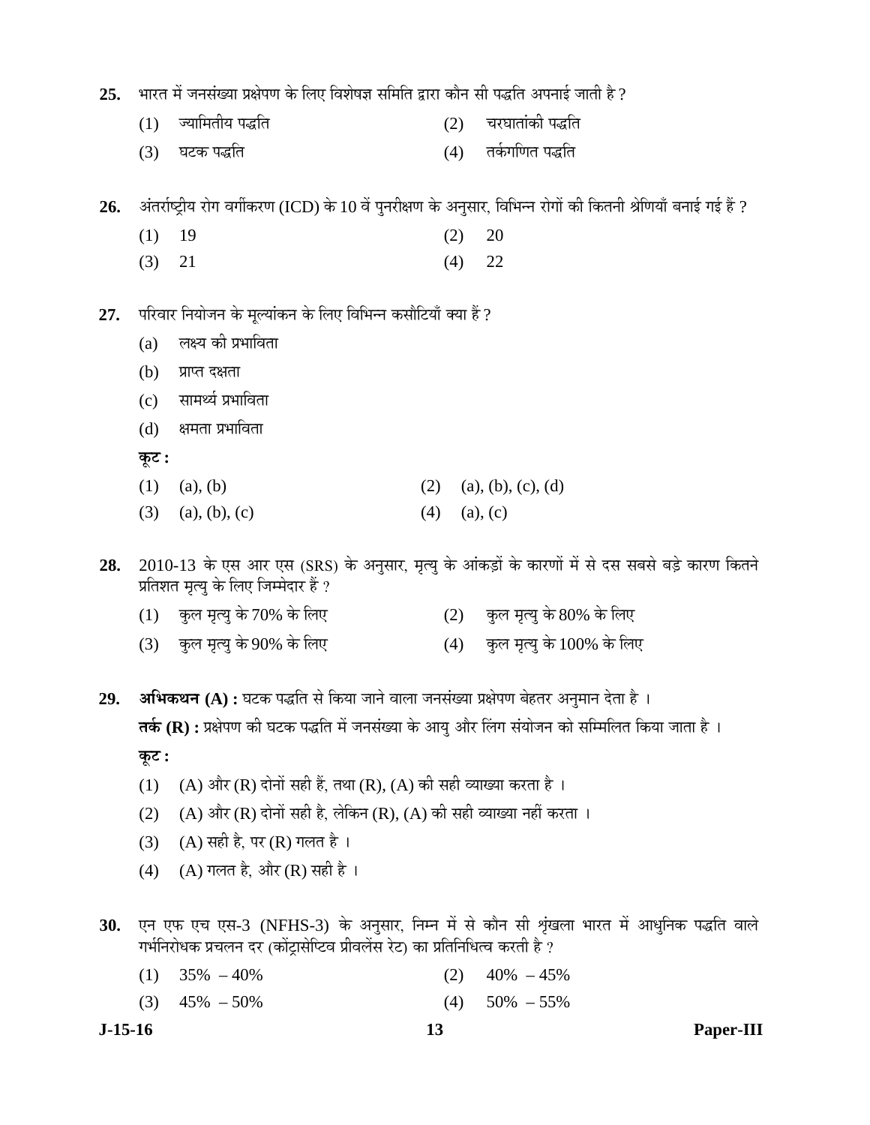- 25. भारत में जनसंख्या प्रक्षेपण के लिए विशेषज्ञ समिति द्वारा कौन सी पद्धति अपनाई जाती है ?
	- (1) •µÖÖ×´ÖŸÖßµÖ ¯Ö¨üןÖ (2) "Ö¸ü'ÖÖŸÖÖÓÛúß ¯Ö¨üןÖ
	- (3) 'Ö™üÛú ¯Ö¨üןÖ (4) ŸÖÛÔúÝÖ×ÞÖŸÖ ¯Ö¨üןÖ

26. अंतर्राष्ट्रीय रोग वर्गीकरण (ICD) के 10 वें पुनरीक्षण के अनुसार, विभिन्न रोगों की कितनी श्रेणियाँ बनाई गई हैं ?

- $(1)$  19  $(2)$  20
- (3) 21 (4) 22
- 27. परिवार नियोजन के मूल्यांकन के लिए विभिन्न कसौटियाँ क्या हैं ?
	- $(a)$  लक्ष्य की प्रभाविता
	- $(b)$  प्राप्त दक्षता
	- (c) सामर्थ्य प्रभाविता
	- (d) क्षमता प्रभाविता

**Ûæú™ü :** 

- (1) (a), (b) (2) (a), (b), (c), (d)
- (3) (a), (b), (c) (4) (a), (c)
- 28. 2010-13 के एस आर एस (SRS) के अनुसार, मृत्यु के आंकड़ों के कारणों में से दस सबसे बड़े कारण कितने प्रतिशत मृत्यु के लिए जिम्मेदार हैं ?
	- $(1)$  कुल मृत्यु के 70% के लिए  $(2)$  कुल मृत्यु के 80% के लिए
	- (3) कुल मृत्यु के 90% के लिए (4) कुल मृत्यु के 100% के लिए

29. **अभिकथन (A) :** घटक पद्धति से किया जाने वाला जनसंख्या प्रक्षेपण बेहतर अनुमान देता है । **तर्क (R) :** प्रक्षेपण की घटक पद्धति में जनसंख्या के आयु और लिंग संयोजन को सम्मिलित किया जाता है । **Ûæú™ü :** 

- (1) (A) और (R) दोनों सही हैं, तथा (R), (A) की सही व्याख्या करता है ।
- (2) (A) और (R) दोनों सही है, लेकिन (R), (A) की सही व्याख्या नहीं करता ।
- (3) (A) सही है, पर (R) गलत है ।
- (4) (A) गलत है, और (R) सही है ।
- 30. एन एफ एच एस-3 (NFHS-3) के अनुसार, निम्न में से कौन सी शृंखला भारत में आधुनिक पद्धति वाले गर्भनिरोधक प्रचलन दर (कोंट्रासेप्टिव प्रीवलेंस रेट) का प्रतिनिधित्व करती है ?
	- (1)  $35\% 40\%$  (2)  $40\% 45\%$
	- (3)  $45\% 50\%$  (4)  $50\% 55\%$
- 

**J-15-16 13 Paper-III**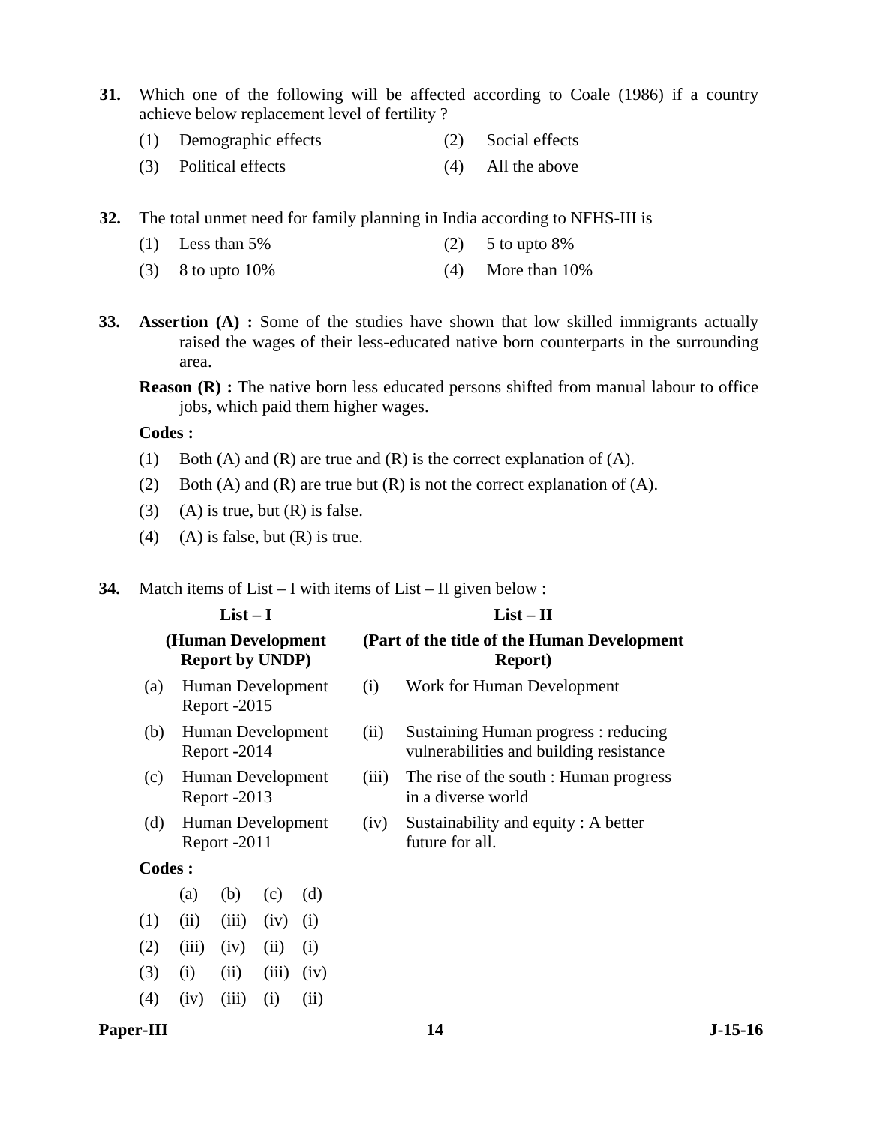- **31.** Which one of the following will be affected according to Coale (1986) if a country achieve below replacement level of fertility ?
	- (1) Demographic effects (2) Social effects
	- (3) Political effects (4) All the above
- **32.** The total unmet need for family planning in India according to NFHS-III is
	- (1) Less than  $5\%$  (2)  $5 \text{ to up to } 8\%$
	- (3) 8 to upto  $10\%$  (4) More than  $10\%$
- **33. Assertion (A) :** Some of the studies have shown that low skilled immigrants actually raised the wages of their less-educated native born counterparts in the surrounding area.
	- **Reason (R) :** The native born less educated persons shifted from manual labour to office jobs, which paid them higher wages.

 **Codes :** 

- (1) Both (A) and (R) are true and (R) is the correct explanation of (A).
- (2) Both (A) and (R) are true but (R) is not the correct explanation of (A).
- (3) (A) is true, but  $(R)$  is false.
- (4) (A) is false, but  $(R)$  is true.

**34.** Match items of List – I with items of List – II given below :

|               |                    | $List-I$                          |       |      | $List - II$ |                                                                                |  |  |  |  |
|---------------|--------------------|-----------------------------------|-------|------|-------------|--------------------------------------------------------------------------------|--|--|--|--|
|               | (Human Development | <b>Report by UNDP)</b>            |       |      |             | (Part of the title of the Human Development<br><b>Report</b> )                 |  |  |  |  |
| (a)           |                    | Human Development<br>Report -2015 |       |      | (i)         | Work for Human Development                                                     |  |  |  |  |
| (b)           |                    | Human Development<br>Report -2014 |       |      | (ii)        | Sustaining Human progress: reducing<br>vulnerabilities and building resistance |  |  |  |  |
| (c)           |                    | Human Development<br>Report -2013 |       |      | (iii)       | The rise of the south : Human progress<br>in a diverse world                   |  |  |  |  |
| (d)           |                    | Human Development<br>Report -2011 |       |      | (iv)        | Sustainability and equity: A better<br>future for all.                         |  |  |  |  |
| <b>Codes:</b> |                    |                                   |       |      |             |                                                                                |  |  |  |  |
|               | (a)                | (b)                               | (c)   | (d)  |             |                                                                                |  |  |  |  |
| (1)           | (ii)               | (iii)                             | (iv)  | (i)  |             |                                                                                |  |  |  |  |
| (2)           | (iii)              | (iv)                              | (ii)  | (i)  |             |                                                                                |  |  |  |  |
| (3)           | (i)                | (ii)                              | (iii) | (iv) |             |                                                                                |  |  |  |  |
| (4)           | (iv)               | (iii)                             | (i)   | (ii) |             |                                                                                |  |  |  |  |

#### Paper-III **14** J-15-16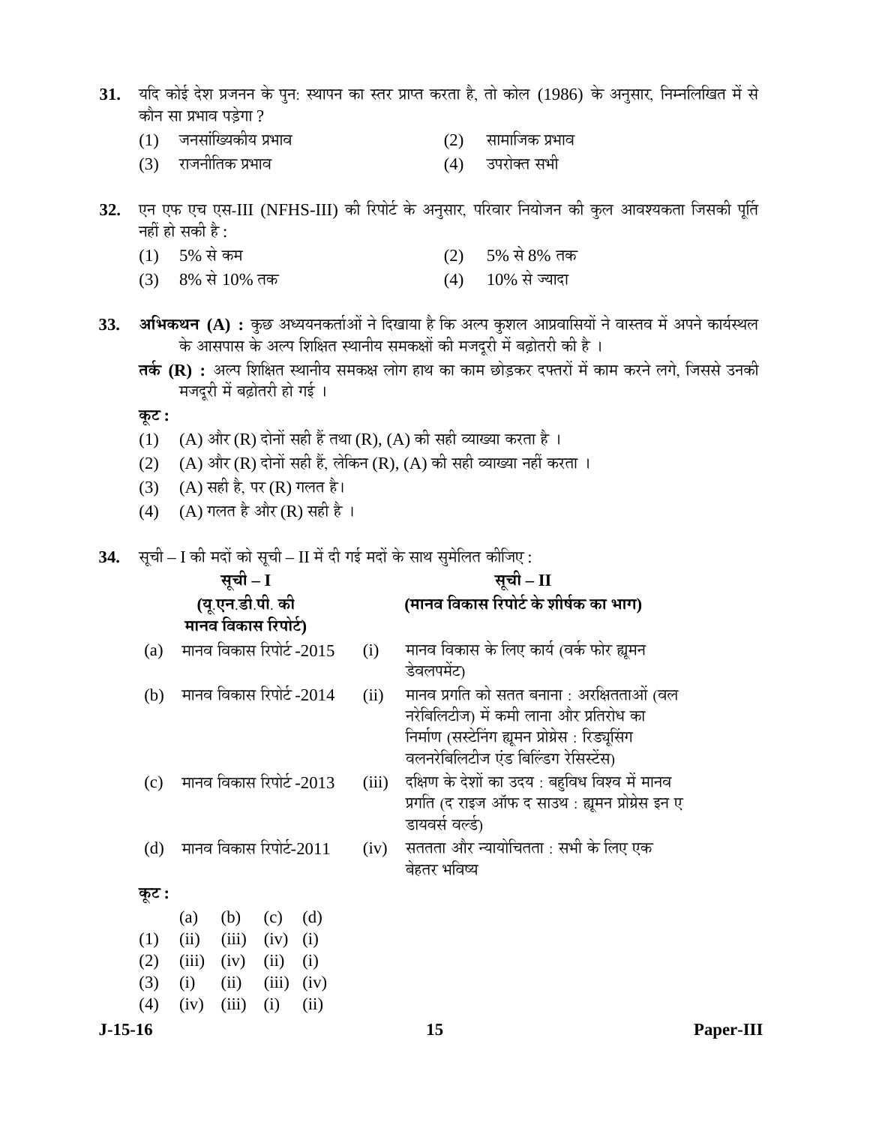- 31. यदि कोई देश प्रजनन के पुन: स्थापन का स्तर प्राप्त करता है, तो कोल (1986) के अनुसार, निम्नलिखित में से कौन सा प्रभाव पड़ेगा ?
	- $(1)$  जनसांख्यिकीय प्रभाव  $(2)$  सामाजिक प्रभाव
	- (3) ¸üÖ•Ö®ÖßןÖÛú ¯ÖϳÖÖ¾Ö (4) ˆ¯Ö¸üÖêŒŸÖ ÃÖ³Öß
- 32. एन एफ एच एस-III (NFHS-III) की रिपोर्ट के अनुसार, परिवार नियोजन की कुल आवश्यकता जिसकी पूर्ति नहीं हो सकी है:
	- $(1)$  5% से कम<br>  $(3)$  8% से 10% तक  $(4)$  10% से ज्यादा
	- (3) 8% से 10% तक
- 33. **अभिकथन (A) :** कुछ अध्ययनकर्ताओं ने दिखाया है कि अल्प कुशल आप्रवासियों ने वास्तव में अपने कार्यस्थल े के आसपास के अल्प शिक्षित स्थानीय समकक्षों की मजदूरी में बढ़ोतरी की है ।
	- **तर्क (R) :** अल्प शिक्षित स्थानीय समकक्ष लोग हाथ का काम छोड़कर दफ्तरों में काम करने लगे. जिससे उनकी मजदुरी में बढ़ोतरी हो गई ।

 $\Phi$ **:** 

- (1) (A) और (R) दोनों सही हैं तथा (R), (A) की सही व्याख्या करता है।
- $(2)$   $(A)$  और  $(R)$  दोनों सही हैं, लेकिन  $(R)$ ,  $(A)$  की सही व्याख्या नहीं करता ।
- (3) (A) सही है, पर (R) गलत है।
- (4) (A) गलत है और (R) सही है ।
- **34.** सूची I की मदों को सूची II में दी गई मदों के साथ सुमेलित कीजिए :

|       |     |       | सूची – I                 |       |      |       | सूची – II                                                                                                                                                                          |
|-------|-----|-------|--------------------------|-------|------|-------|------------------------------------------------------------------------------------------------------------------------------------------------------------------------------------|
|       |     |       | (यू.एन.डी.पी. की         |       |      |       | (मानव विकास रिपोर्ट के शीर्षक का भाग)                                                                                                                                              |
|       |     |       | मानव विकास रिपोर्ट)      |       |      |       |                                                                                                                                                                                    |
|       | (a) |       | मानव विकास रिपोर्ट -2015 |       |      | (i)   | मानव विकास के लिए कार्य (वर्क फोर ह्यूमन<br>डेवलपमेंट)                                                                                                                             |
|       | (b) |       | मानव विकास रिपोर्ट -2014 |       |      | (ii)  | मानव प्रगति को सतत बनाना : अरक्षितताओं (वल<br>नरेबिलिटीज) में कमी लाना और प्रतिरोध का<br>निर्माण (सस्टेनिंग ह्यूमन प्रोग्रेस : रिड्यूसिंग<br>वलनरेबिलिटीज एंड बिल्डिंग रेसिस्टेंस) |
|       | (c) |       | मानव विकास रिपोर्ट -2013 |       |      | (iii) | दक्षिण के देशों का उदय : बहुविध विश्व में मानव<br>प्रगति (द राइज ऑफ द साउथ : ह्यूमन प्रोग्रेस इन ए<br>डायवर्स वर्ल्ड)                                                              |
|       | (d) |       | मानव विकास रिपोर्ट-2011  |       |      | (iv)  | सततता और न्यायोचितता : सभी के लिए एक<br>बेहतर भविष्य                                                                                                                               |
| कूट : |     |       |                          |       |      |       |                                                                                                                                                                                    |
|       |     | (a)   | (b)                      | (c)   | (d)  |       |                                                                                                                                                                                    |
| (1)   |     | (ii)  | (iii)                    | (iv)  | (i)  |       |                                                                                                                                                                                    |
| (2)   |     | (iii) | (iv)                     | (ii)  | (i)  |       |                                                                                                                                                                                    |
| (3)   |     | (i)   | (ii)                     | (iii) | (iv) |       |                                                                                                                                                                                    |
| (4)   |     | (iv)  | (iii)                    | (i)   | (ii) |       |                                                                                                                                                                                    |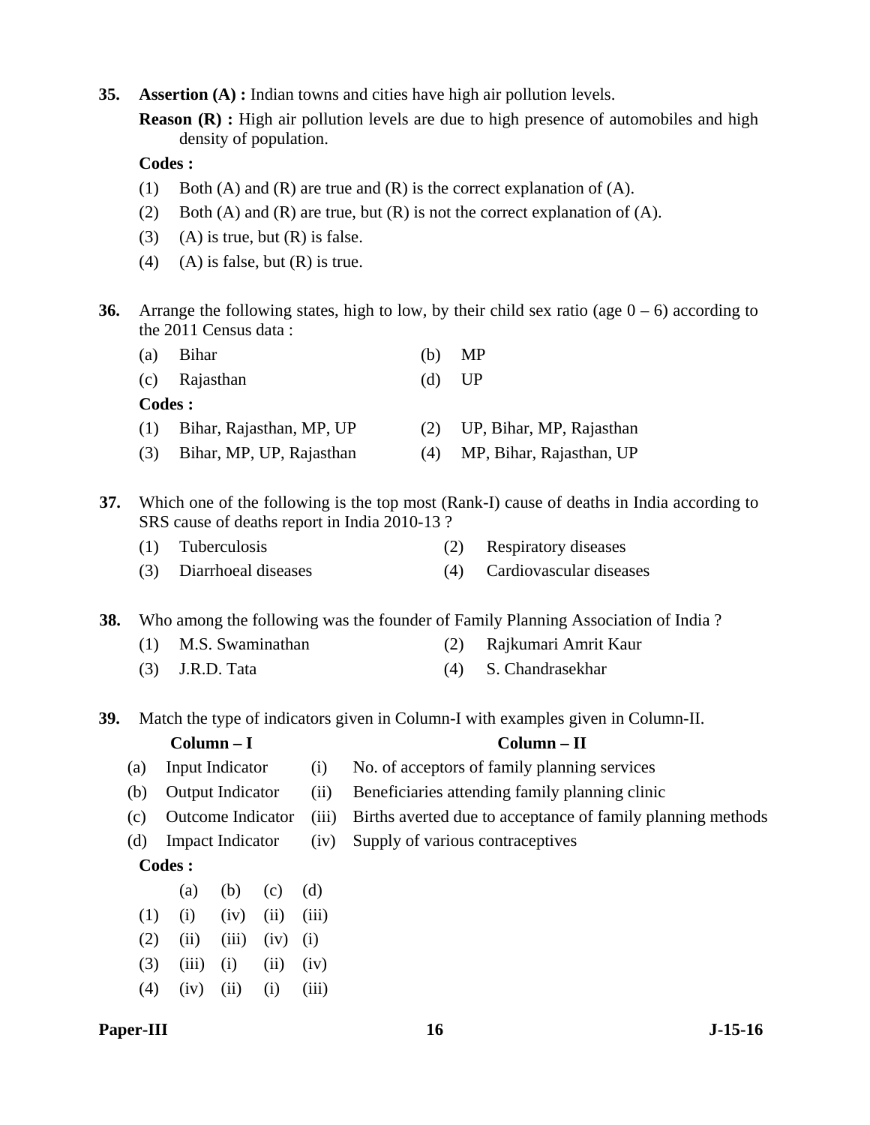**35. Assertion (A) :** Indian towns and cities have high air pollution levels.

**Reason (R) :** High air pollution levels are due to high presence of automobiles and high density of population.

# **Codes :**

- (1) Both (A) and (R) are true and (R) is the correct explanation of (A).
- (2) Both (A) and (R) are true, but (R) is not the correct explanation of (A).
- (3) (A) is true, but  $(R)$  is false.
- (4) (A) is false, but  $(R)$  is true.
- **36.** Arrange the following states, high to low, by their child sex ratio (age  $0 6$ ) according to the 2011 Census data :

| (a) | Bihar                    | (b) | MP                           |
|-----|--------------------------|-----|------------------------------|
|     | (c) Rajasthan            | (d) | - UP                         |
|     | Codes :                  |     |                              |
| (1) | Bihar, Rajasthan, MP, UP |     | (2) UP, Bihar, MP, Rajasthan |
| (3) | Bihar, MP, UP, Rajasthan | (4) | MP, Bihar, Rajasthan, UP     |
|     |                          |     |                              |

**37.** Which one of the following is the top most (Rank-I) cause of deaths in India according to SRS cause of deaths report in India 2010-13 ?

| (1) Tuberculosis        | (2) Respiratory diseases |
|-------------------------|--------------------------|
| (3) Diarrhoeal diseases | Cardiovascular diseases  |

**38.** Who among the following was the founder of Family Planning Association of India ?

- (1) M.S. Swaminathan (2) Rajkumari Amrit Kaur
- (3) J.R.D. Tata (4) S. Chandrasekhar

**39.** Match the type of indicators given in Column-I with examples given in Column-II.

# **Column – I Column – II**  (a) Input Indicator (i) No. of acceptors of family planning services (b) Output Indicator (ii) Beneficiaries attending family planning clinic (c) Outcome Indicator (iii) Births averted due to acceptance of family planning methods

(d) Impact Indicator (iv) Supply of various contraceptives

# **Codes :**

(a) (b) (c) (d)  $(1)$   $(i)$   $(iv)$   $(ii)$   $(iii)$  $(2)$   $(ii)$   $(iii)$   $(iv)$   $(i)$  $(3)$   $(iii)$   $(i)$   $(ii)$   $(iv)$  $(4)$   $(iv)$   $(ii)$   $(i)$   $(iii)$ 

# Paper-III **16** J-15-16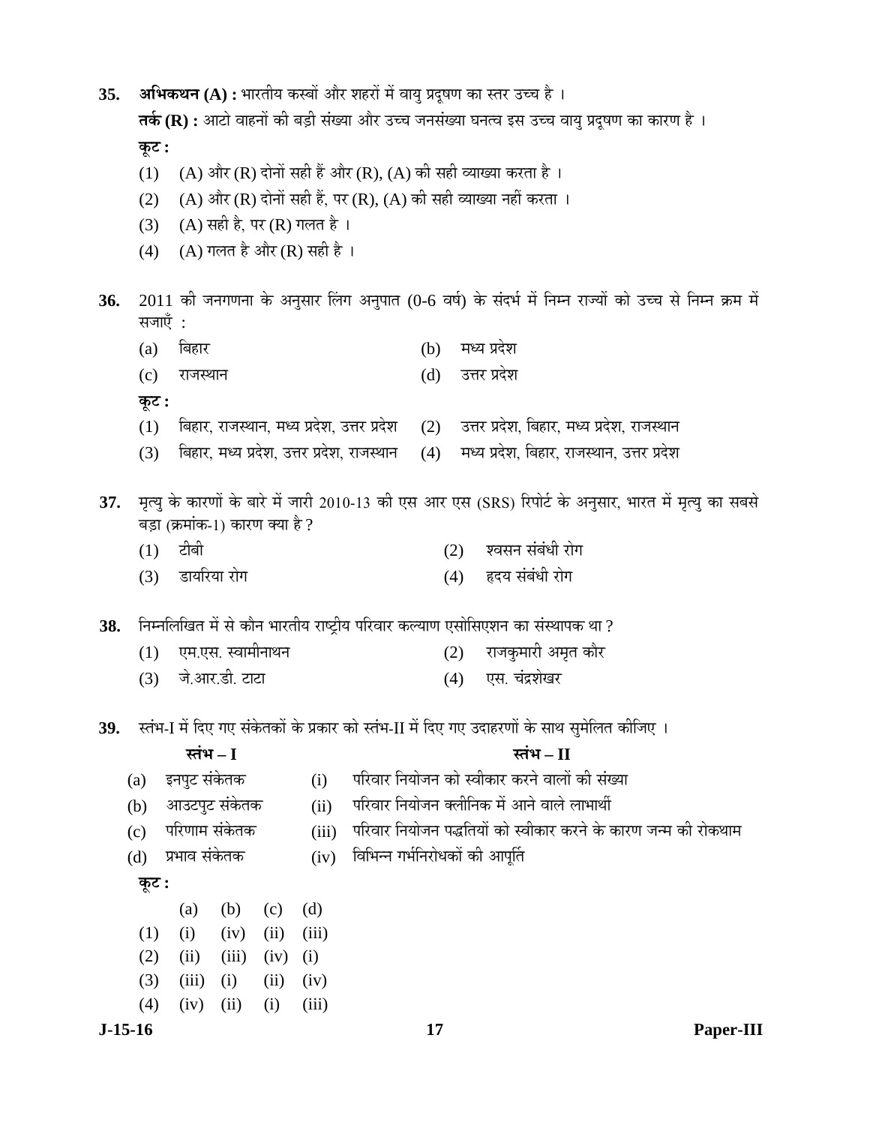| 35. |           |         |                |                                 |       |                                                                |     |     |              | अभिकथन (A) : भारतीय कस्बों और शहरों में वायु प्रदूषण का स्तर उच्च है ।                        |                                                                                                        |
|-----|-----------|---------|----------------|---------------------------------|-------|----------------------------------------------------------------|-----|-----|--------------|-----------------------------------------------------------------------------------------------|--------------------------------------------------------------------------------------------------------|
|     |           |         |                |                                 |       |                                                                |     |     |              | तर्क (R) : आटो वाहनों की बड़ी संख्या और उच्च जनसंख्या घनत्व इस उच्च वायु प्रदूषण का कारण है । |                                                                                                        |
|     | कूट :     |         |                |                                 |       |                                                                |     |     |              |                                                                                               |                                                                                                        |
|     | (1)       |         |                |                                 |       | (A) और (R) दोनों सही हैं और (R), (A) की सही व्याख्या करता है । |     |     |              |                                                                                               |                                                                                                        |
|     | (2)       |         |                |                                 |       |                                                                |     |     |              | (A) और (R) दोनों सही हैं, पर (R), (A) की सही व्याख्या नहीं करता ।                             |                                                                                                        |
|     | (3)       |         |                | (A) सही है, पर (R) गलत है।      |       |                                                                |     |     |              |                                                                                               |                                                                                                        |
|     | (4)       |         |                | $(A)$ गलत है और $(R)$ सही है ।  |       |                                                                |     |     |              |                                                                                               |                                                                                                        |
| 36. |           | सजाएँ : |                |                                 |       |                                                                |     |     |              |                                                                                               | 2011 की जनगणना के अनुसार लिंग अनुपात (0-6 वर्ष) के संदर्भ में निम्न राज्यों को उच्च से निम्न क्रम में  |
|     | (a)       | बिहार   |                |                                 |       |                                                                | (b) |     | मध्य प्रदेश  |                                                                                               |                                                                                                        |
|     | (c)       |         | राजस्थान       |                                 |       |                                                                | (d) |     | उत्तर प्रदेश |                                                                                               |                                                                                                        |
|     | कूट :     |         |                |                                 |       |                                                                |     |     |              |                                                                                               |                                                                                                        |
|     | (1)       |         |                |                                 |       | बिहार, राजस्थान, मध्य प्रदेश, उत्तर प्रदेश                     | (2) |     |              | उत्तर प्रदेश, बिहार, मध्य प्रदेश, राजस्थान                                                    |                                                                                                        |
|     | (3)       |         |                |                                 |       | बिहार, मध्य प्रदेश, उत्तर प्रदेश, राजस्थान                     | (4) |     |              | मध्य प्रदेश, बिहार, राजस्थान, उत्तर प्रदेश                                                    |                                                                                                        |
|     |           |         |                |                                 |       |                                                                |     |     |              |                                                                                               |                                                                                                        |
| 37. |           |         |                |                                 |       |                                                                |     |     |              |                                                                                               | मृत्यु के कारणों के बारे में जारी 2010-13 की एस आर एस (SRS) रिपोर्ट के अनुसार, भारत में मृत्यु का सबसे |
|     |           |         |                | बड़ा (क्रमांक-1) कारण क्या है ? |       |                                                                |     |     |              |                                                                                               |                                                                                                        |
|     | (1)       | टीबी    |                |                                 |       |                                                                |     | (2) |              | श्वसन संबंधी रोग                                                                              |                                                                                                        |
|     | (3)       |         | डायरिया रोग    |                                 |       |                                                                |     | (4) |              | हृदय संबंधी रोग                                                                               |                                                                                                        |
| 38. |           |         |                |                                 |       |                                                                |     |     |              | निम्नलिखित में से कौन भारतीय राष्ट्रीय परिवार कल्याण एसोसिएशन का संस्थापक था ?                |                                                                                                        |
|     | (1)       |         |                | एम.एस. स्वामीनाथन               |       |                                                                |     | (2) |              | राजकुमारी अमृत कौर                                                                            |                                                                                                        |
|     | (3)       |         | जे.आर.डी. टाटा |                                 |       |                                                                |     | (4) |              | एस. चंद्रशेखर                                                                                 |                                                                                                        |
|     |           |         |                |                                 |       |                                                                |     |     |              |                                                                                               |                                                                                                        |
| 39. |           |         |                |                                 |       |                                                                |     |     |              | स्तंभ-I में दिए गए संकेतकों के प्रकार को स्तंभ-II में दिए गए उदाहरणों के साथ सुमेलित कीजिए ।  |                                                                                                        |
|     |           |         | स्तंभ $-I$     |                                 |       |                                                                |     |     |              | स्तंभ $-I$                                                                                    |                                                                                                        |
|     | (a)       |         | इनपुट संकेतक   |                                 | (i)   |                                                                |     |     |              | परिवार नियोजन को स्वीकार करने वालों की संख्या                                                 |                                                                                                        |
|     | (b)       |         | आउटपुट संकेतक  |                                 | (ii)  |                                                                |     |     |              | परिवार नियोजन क्लीनिक में आने वाले लाभार्थी                                                   |                                                                                                        |
|     | (c)       |         | परिणाम संकेतक  |                                 | (iii) |                                                                |     |     |              |                                                                                               | परिवार नियोजन पद्धतियों को स्वीकार करने के कारण जन्म की रोकथाम                                         |
|     | (d)       |         | प्रभाव संकेतक  |                                 | (iv)  | विभिन्न गर्भनिरोधकों की आपूर्ति                                |     |     |              |                                                                                               |                                                                                                        |
|     | कूट :     |         |                |                                 |       |                                                                |     |     |              |                                                                                               |                                                                                                        |
|     |           | (a)     | (b)            | (c)                             | (d)   |                                                                |     |     |              |                                                                                               |                                                                                                        |
|     | (1)       | (i)     | (iv)           | (ii)                            | (iii) |                                                                |     |     |              |                                                                                               |                                                                                                        |
|     | (2)       | (ii)    | (iii)          | (iv)                            | (i)   |                                                                |     |     |              |                                                                                               |                                                                                                        |
|     | (3)       | (iii)   | (i)            | (ii)                            | (iv)  |                                                                |     |     |              |                                                                                               |                                                                                                        |
|     | (4)       | (iv)    | (ii)           | (i)                             | (iii) |                                                                |     |     |              |                                                                                               |                                                                                                        |
|     | $J-15-16$ |         |                |                                 |       |                                                                | 17  |     |              |                                                                                               | Paper-III                                                                                              |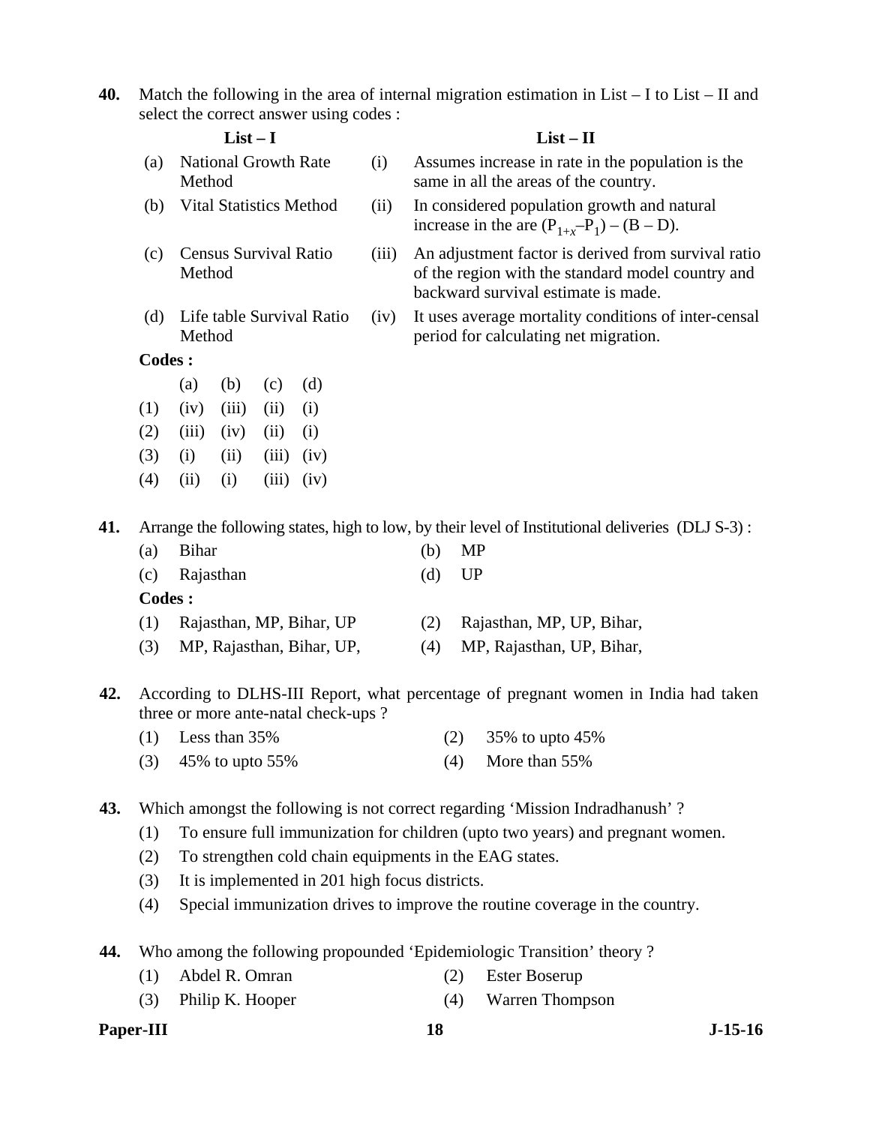**40.** Match the following in the area of internal migration estimation in List – I to List – II and select the correct answer using codes :

| $List-I$ |               |                                       |           |       |                          |                                                                                                                                                 | $List - II$                                                                                    |                                                                                                  |  |
|----------|---------------|---------------------------------------|-----------|-------|--------------------------|-------------------------------------------------------------------------------------------------------------------------------------------------|------------------------------------------------------------------------------------------------|--------------------------------------------------------------------------------------------------|--|
|          | (a)           | <b>National Growth Rate</b><br>Method |           |       | (i)                      |                                                                                                                                                 | Assumes increase in rate in the population is the<br>same in all the areas of the country.     |                                                                                                  |  |
|          | (b)           | <b>Vital Statistics Method</b>        |           |       | (ii)                     |                                                                                                                                                 | In considered population growth and natural<br>increase in the are $(P_{1+r}-P_1) - (B - D)$ . |                                                                                                  |  |
|          | (c)           | Census Survival Ratio<br>Method       |           | (iii) |                          | An adjustment factor is derived from survival ratio<br>of the region with the standard model country and<br>backward survival estimate is made. |                                                                                                |                                                                                                  |  |
|          | (d)           | Life table Survival Ratio<br>Method   |           | (iv)  |                          | It uses average mortality conditions of inter-censal<br>period for calculating net migration.                                                   |                                                                                                |                                                                                                  |  |
|          | <b>Codes:</b> |                                       |           |       |                          |                                                                                                                                                 |                                                                                                |                                                                                                  |  |
|          |               | (a)                                   | (b)       | (c)   | (d)                      |                                                                                                                                                 |                                                                                                |                                                                                                  |  |
|          | (1)           | (iv)                                  | (iii)     | (ii)  | (i)                      |                                                                                                                                                 |                                                                                                |                                                                                                  |  |
|          | (2)           | (iii)                                 | (iv)      | (ii)  | (i)                      |                                                                                                                                                 |                                                                                                |                                                                                                  |  |
|          | (3)           | (i)                                   | (ii)      | (iii) | (iv)                     |                                                                                                                                                 |                                                                                                |                                                                                                  |  |
|          | (4)           | (ii)                                  | (i)       | (iii) | (iv)                     |                                                                                                                                                 |                                                                                                |                                                                                                  |  |
| 41.      |               |                                       |           |       |                          |                                                                                                                                                 |                                                                                                | Arrange the following states, high to low, by their level of Institutional deliveries (DLJ S-3): |  |
|          | (a)           | <b>Bihar</b>                          |           |       |                          |                                                                                                                                                 | (b)                                                                                            | MP                                                                                               |  |
|          | (c)           |                                       | Rajasthan |       |                          |                                                                                                                                                 | (d)                                                                                            | <b>UP</b>                                                                                        |  |
|          | <b>Codes:</b> |                                       |           |       |                          |                                                                                                                                                 |                                                                                                |                                                                                                  |  |
|          | (1)           |                                       |           |       | Rajasthan, MP, Bihar, UP |                                                                                                                                                 | (2)                                                                                            | Rajasthan, MP, UP, Bihar,                                                                        |  |

- (3) MP, Rajasthan, Bihar, UP, (4) MP, Rajasthan, UP, Bihar,
- **42.** According to DLHS-III Report, what percentage of pregnant women in India had taken three or more ante-natal check-ups ?

| $(1)$ Less than 35%   | (2) $35\%$ to upto $45\%$ |
|-----------------------|---------------------------|
| $(3)$ 45% to upto 55% | $(4)$ More than 55%       |

- **43.** Which amongst the following is not correct regarding 'Mission Indradhanush' ?
	- (1) To ensure full immunization for children (upto two years) and pregnant women.
	- (2) To strengthen cold chain equipments in the EAG states.
	- (3) It is implemented in 201 high focus districts.
	- (4) Special immunization drives to improve the routine coverage in the country.
- **44.** Who among the following propounded 'Epidemiologic Transition' theory ?
	- (1) Abdel R. Omran (2) Ester Boserup
	- (3) Philip K. Hooper (4) Warren Thompson

**Paper-III 18** J-15-16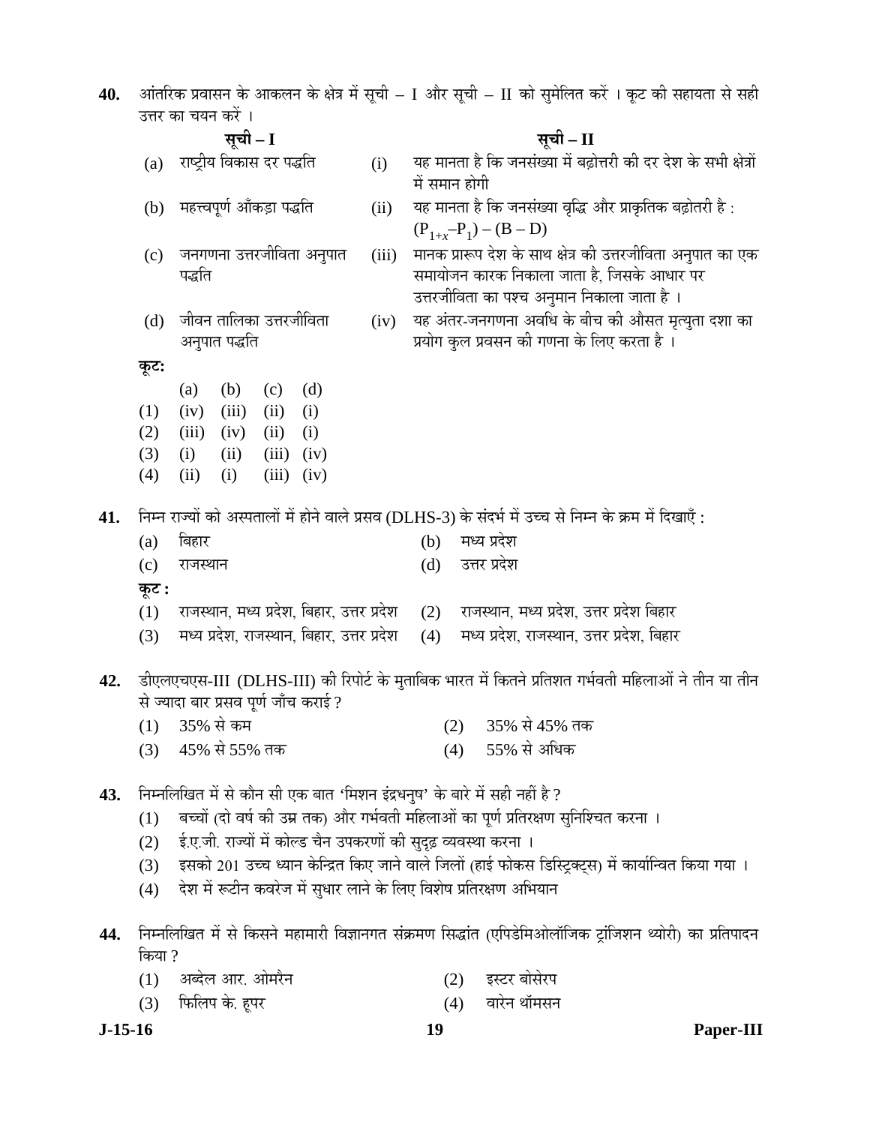| 40. |            |                                                                            | आंतरिक प्रवासन के आकलन के क्षेत्र में सूची – I और सूची – II को सुमेलित करें । कूट की सहायता से सही       |
|-----|------------|----------------------------------------------------------------------------|----------------------------------------------------------------------------------------------------------|
|     |            | उत्तर का चयन करें ।                                                        |                                                                                                          |
|     |            | सूची – I                                                                   | सूची – II                                                                                                |
|     | (a)        | राष्ट्रीय विकास दर पद्धति<br>(i)                                           | यह मानता है कि जनसंख्या में बढ़ोत्तरी की दर देश के सभी क्षेत्रों<br>में समान होगी                        |
|     | (b)        | महत्त्वपूर्ण आँकड़ा पद्धति<br>(ii)                                         | यह मानता है कि जनसंख्या वृद्धि और प्राकृतिक बढ़ोतरी है :                                                 |
|     |            |                                                                            | $(P_{1+x}-P_1) - (B - D)$                                                                                |
|     | (c)        | जनगणना उत्तरजीविता अनुपात<br>(iii)                                         | मानक प्रारूप देश के साथ क्षेत्र की उत्तरजीविता अनुपात का एक                                              |
|     |            | पद्धति                                                                     | समायोजन कारक निकाला जाता है, जिसके आधार पर                                                               |
|     |            |                                                                            | उत्तरजीविता का पश्च अनुमान निकाला जाता है ।                                                              |
|     | (d)        | जीवन तालिका उत्तरजीविता<br>(iv)                                            | यह अंतर-जनगणना अवधि के बीच की औसत मृत्युता दशा का                                                        |
|     |            | अनुपात पद्धति                                                              | प्रयोग कुल प्रवसन की गणना के लिए करता है ।                                                               |
|     | कूट:       |                                                                            |                                                                                                          |
|     |            | (d)<br>(b)<br>(c)<br>(a)                                                   |                                                                                                          |
|     | (1)        | (iii)<br>(ii)<br>(iv)<br>(i)                                               |                                                                                                          |
|     | (2)<br>(3) | (iii)<br>(ii)<br>(i)<br>(iv)<br>(iii)<br>(iv)<br>(i)<br>(ii)               |                                                                                                          |
|     | (4)        | (ii)<br>(iii)<br>(i)<br>(iv)                                               |                                                                                                          |
|     |            |                                                                            |                                                                                                          |
| 41. |            |                                                                            | निम्न राज्यों को अस्पतालों में होने वाले प्रसव (DLHS-3) के संदर्भ में उच्च से निम्न के क्रम में दिखाएँ : |
|     | (a)        | बिहार                                                                      | मध्य प्रदेश<br>(b)                                                                                       |
|     | (c)        | राजस्थान                                                                   | उत्तर प्रदेश<br>(d)                                                                                      |
|     | कूट :      |                                                                            |                                                                                                          |
|     | (1)        | राजस्थान, मध्य प्रदेश, बिहार, उत्तर प्रदेश                                 | राजस्थान, मध्य प्रदेश, उत्तर प्रदेश बिहार<br>(2)                                                         |
|     | (3)        | मध्य प्रदेश, राजस्थान, बिहार, उत्तर प्रदेश                                 | मध्य प्रदेश, राजस्थान, उत्तर प्रदेश, बिहार<br>(4)                                                        |
|     |            |                                                                            |                                                                                                          |
| 42. |            |                                                                            | डीएलएचएस-III (DLHS-III) की रिपोर्ट के मुताबिक भारत में कितने प्रतिशत गर्भवती महिलाओं ने तीन या तीन       |
|     |            | से ज्यादा बार प्रसव पूर्ण जाँच कराई ?                                      |                                                                                                          |
|     | (1)        | 35% से कम<br>45% से 55% तक                                                 | 35% से 45% तक<br>(2)<br>55% से अधिक                                                                      |
|     | (3)        |                                                                            | (4)                                                                                                      |
| 43. |            | निम्नलिखित में से कौन सी एक बात 'मिशन इंद्रधनुष' के बारे में सही नहीं है ? |                                                                                                          |
|     | (1)        |                                                                            | बच्चों (दो वर्ष की उम्र तक) और गर्भवती महिलाओं का पूर्ण प्रतिरक्षण सुनिश्चित करना ।                      |
|     | (2)        | ई.ए.जी. राज्यों में कोल्ड चैन उपकरणों की सुदृढ़ व्यवस्था करना ।            |                                                                                                          |
|     | (3)        |                                                                            | इसको 201 उच्च ध्यान केन्द्रित किए जाने वाले जिलों (हाई फोकस डिस्ट्रिक्ट्स) में कार्यान्वित किया गया ।    |
|     | (4)        | देश में रूटीन कवरेज में सुधार लाने के लिए विशेष प्रतिरक्षण अभियान          |                                                                                                          |
|     |            |                                                                            |                                                                                                          |
| 44. |            |                                                                            | निम्नलिखित में से किसने महामारी विज्ञानगत संक्रमण सिद्धांत (एपिडेमिओलॉजिक ट्रांजिशन थ्योरी) का प्रतिपादन |
|     | किया ?     |                                                                            |                                                                                                          |

| (1) अब्देल आर. ओमरैन | (2) इस्टर बोसेरप |
|----------------------|------------------|
| (3) फिलिप के. हूपर   | (4) वारेन थॉमसन  |

**J-15-16 19 Paper-III**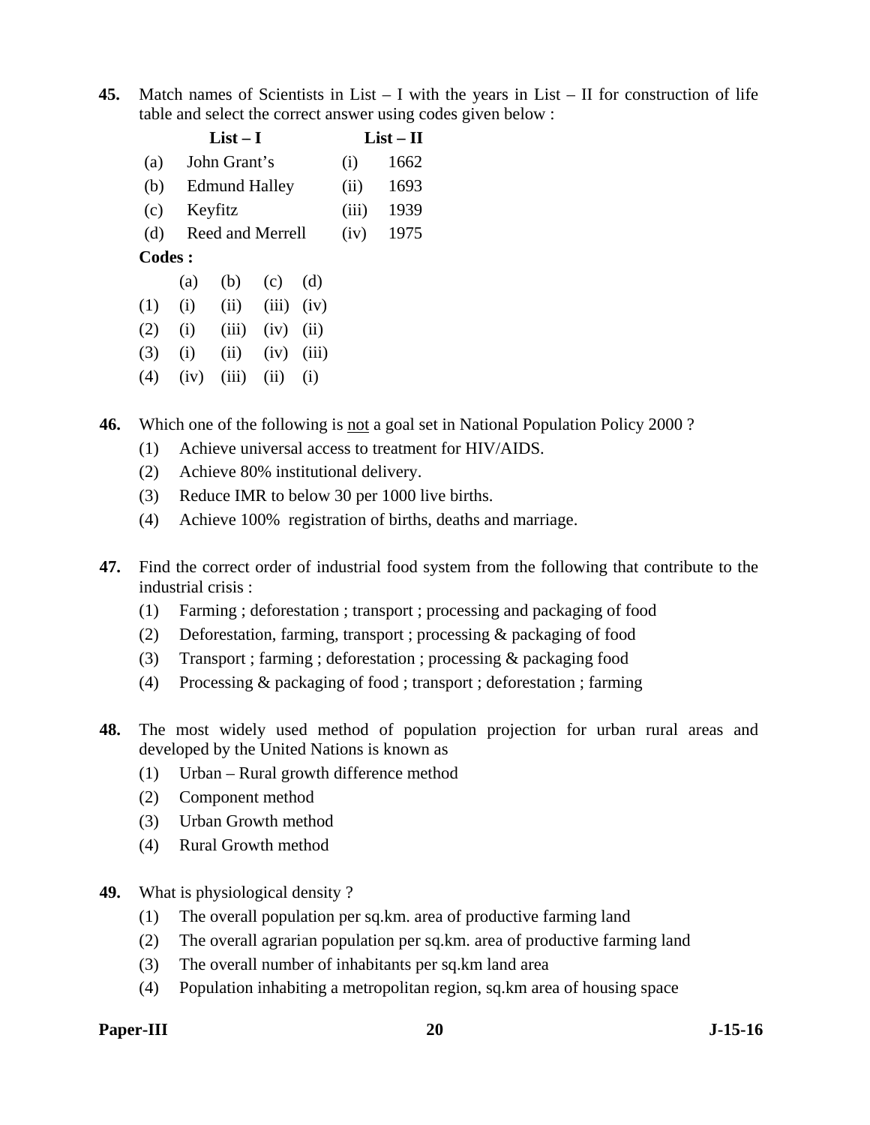**45.** Match names of Scientists in List – I with the years in List – II for construction of life table and select the correct answer using codes given below :

|               | $List-I$ |                      |       |       |      | $List-II$ |
|---------------|----------|----------------------|-------|-------|------|-----------|
| (a)           |          | John Grant's         |       |       | (i)  | 1662      |
| (b)           |          | <b>Edmund Halley</b> |       |       | (ii) | 1693      |
| (c)           | Keyfitz  |                      | (iii) | 1939  |      |           |
| (d)           |          | Reed and Merrell     | (iv)  | 1975  |      |           |
| <b>Codes:</b> |          |                      |       |       |      |           |
|               | (a)      | (b)                  | (c)   | (d)   |      |           |
| (1)           | (i)      | (ii)                 | (iii) | (iv)  |      |           |
| (2)           | (i)      | (iii)                | (iv)  | (ii)  |      |           |
| (3)           | (i)      | (ii)                 | (iv)  | (iii) |      |           |
|               |          |                      |       |       |      |           |

 $(4)$   $(iv)$   $(iii)$   $(ii)$   $(i)$ 

**46.** Which one of the following is not a goal set in National Population Policy 2000?

- (1) Achieve universal access to treatment for HIV/AIDS.
- (2) Achieve 80% institutional delivery.
- (3) Reduce IMR to below 30 per 1000 live births.
- (4) Achieve 100% registration of births, deaths and marriage.
- **47.** Find the correct order of industrial food system from the following that contribute to the industrial crisis :
	- (1) Farming ; deforestation ; transport ; processing and packaging of food
	- (2) Deforestation, farming, transport ; processing & packaging of food
	- (3) Transport ; farming ; deforestation ; processing & packaging food
	- (4) Processing & packaging of food ; transport ; deforestation ; farming
- **48.** The most widely used method of population projection for urban rural areas and developed by the United Nations is known as
	- (1) Urban Rural growth difference method
	- (2) Component method
	- (3) Urban Growth method
	- (4) Rural Growth method
- **49.** What is physiological density ?
	- (1) The overall population per sq.km. area of productive farming land
	- (2) The overall agrarian population per sq.km. area of productive farming land
	- (3) The overall number of inhabitants per sq.km land area
	- (4) Population inhabiting a metropolitan region, sq.km area of housing space

# Paper-III 20 J-15-16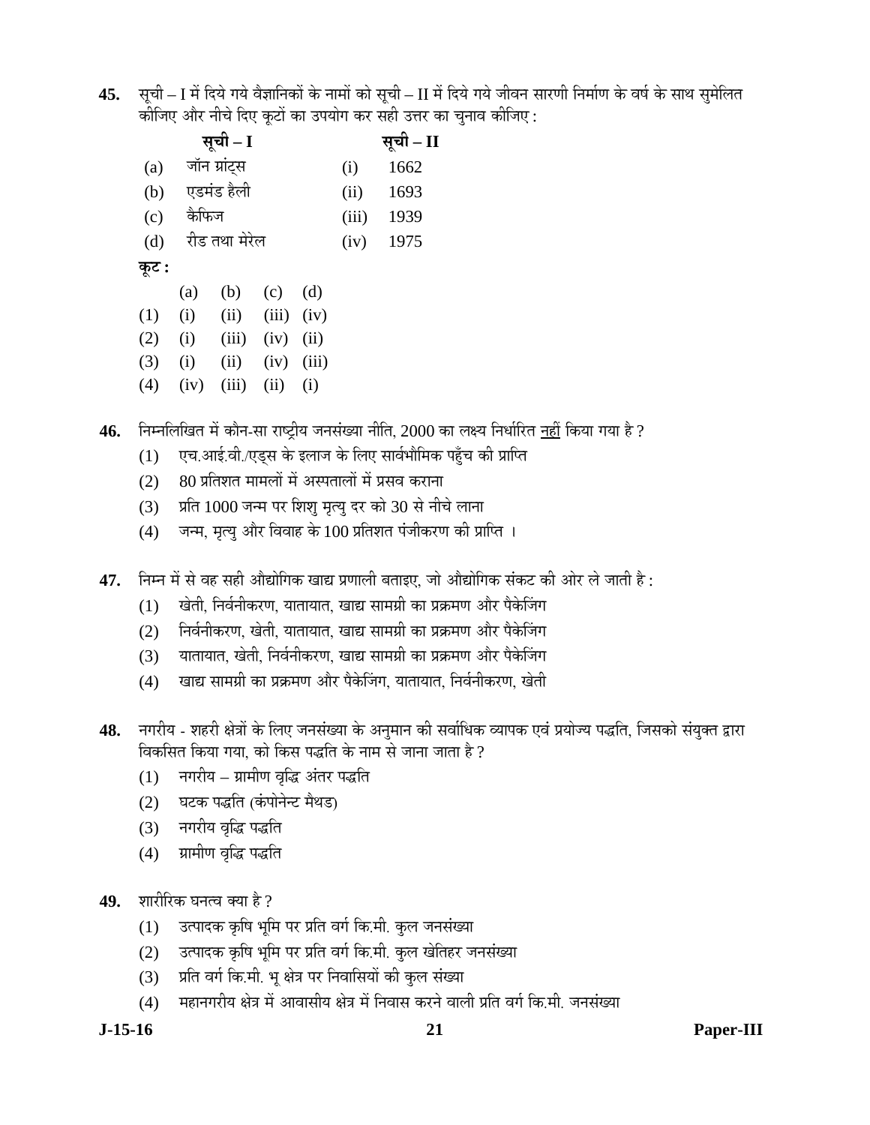45. सूची – I में दिये गये वैज्ञानिकों के नामों को सूची – II में दिये गये जीवन सारणी निर्माण के वर्ष के साथ सुमेलित कीजिए और नीचे दिए कूटों का उपयोग कर सही उत्तर का चुनाव कीजिए :

|       |       | सूची – I      |       |       |       | सूची – II |
|-------|-------|---------------|-------|-------|-------|-----------|
| (a)   |       | जॉन ग्रांट्स  |       |       | (i)   | 1662      |
| (b)   |       | एडमंड हैली    |       |       | (ii)  | 1693      |
| (c)   | कैफिज |               |       |       | (iii) | 1939      |
| (d)   |       | रीड तथा मेरेल | (iv)  | 1975  |       |           |
| कूट : |       |               |       |       |       |           |
|       | (a)   | (b)           | (c)   | (d)   |       |           |
| (1)   | (i)   | (ii)          | (iii) | (iv)  |       |           |
| (2)   | (i)   | (iii)         | (iv)  | (ii)  |       |           |
| (3)   | (i)   | (ii)          | (iv)  | (iii) |       |           |
| (4)   | (iv)  | (iii)         | (ii)  | (i)   |       |           |

**46.** निम्नलिखित में कौन-सा राष्ट्रीय जनसंख्या नीति, 2000 का लक्ष्य निर्धारित <u>नहीं</u> किया गया है ?

- (1) एच.आई.वी./एड्स के इलाज के लिए सार्वभौमिक पहुँच की प्राप्ति
- $(2)$   $80$  प्रतिशत मामलों में अस्पतालों में प्रसव कराना
- (3) प्रति 1000 जन्म पर शिशु मृत्यु दर को 30 से नीचे लाना
- $(4)$  जन्म, मृत्यु और विवाह के  $100$  प्रतिशत पंजीकरण की प्राप्ति ।
- 47. निम्न में से वह सही औद्योगिक खाद्य प्रणाली बताइए, जो औद्योगिक संकट की ओर ले जाती है :
	- (1) खेती, निर्वनीकरण, यातायात, खाद्य सामग्री का प्रक्रमण और पैकेजिंग
	- (2) निर्वनीकरण, खेती, यातायात, खाद्य सामग्री का प्रक्रमण और पैकेजिंग
	- (3) यातायात, खेती, निर्वनीकरण, खाद्य सामग्री का प्रक्रमण और पैकेजिंग
	- (4) खाद्य सामग्री का प्रक्रमण और पैकेजिंग, यातायात, निर्वनीकरण, खेती
- 48. नगरीय शहरी क्षेत्रों के लिए जनसंख्या के अनुमान की सर्वाधिक व्यापक एवं प्रयोज्य पद्धति, जिसको संयुक्त द्वारा <u>विकसित किया गया. को किस पद्धति के नाम से जाना जाता है ?</u>
	- $(1)$  नगरीय ग्रामीण वृद्धि अंतर पद्धति
	- (2) घटक पद्धति (कंपोनेन्ट मैथड)
	- (3) नगरीय वृद्धि पद्धति
	- (4) प्रामीण वृद्धि पद्धति
- **49.** शारीरिक घनत्व क्या है ?
	- (1) उत्पादक कृषि भूमि पर प्रति वर्ग कि.मी. कुल जनसंख्या
	- (2) उत्पादक कृषि भूमि पर प्रति वर्ग कि.मी. कुल खेतिहर जनसंख्या
	- (3) जिंदी वर्ग कि.मी. भू क्षेत्र पर निवासियों की कुल संख्या
	- (4) महानगरीय क्षेत्र में आवासीय क्षेत्र में निवास करने वाली प्रति वर्ग कि.मी. जनसंख्या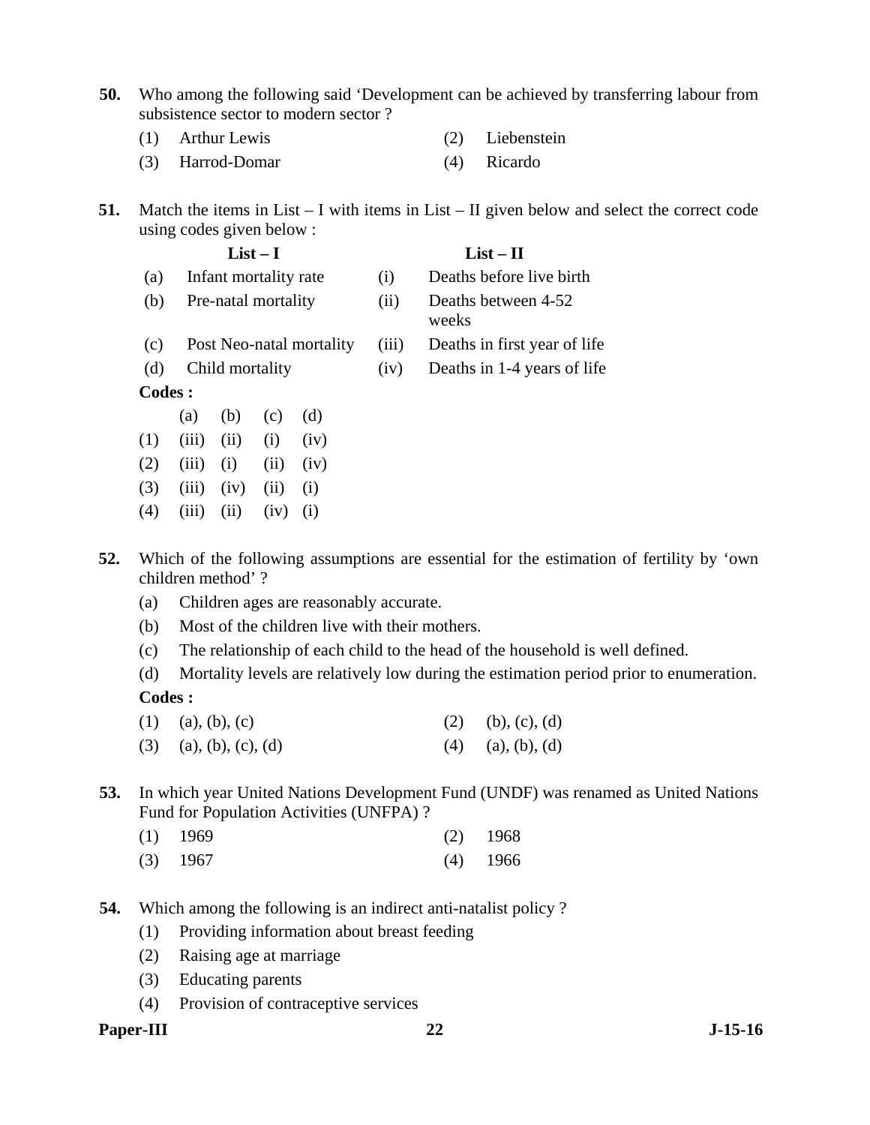- **50.** Who among the following said 'Development can be achieved by transferring labour from subsistence sector to modern sector ?
	- (1) Arthur Lewis (2) Liebenstein
	- (3) Harrod-Domar (4) Ricardo
- **51.** Match the items in List I with items in List II given below and select the correct code using codes given below :
	- List I List II (a) Infant mortality rate (i) Deaths before live birth (b) Pre-natal mortality (ii) Deaths between 4-52 weeks (c) Post Neo-natal mortality (iii) Deaths in first year of life (d) Child mortality (iv) Deaths in 1-4 years of life **Codes :** (a) (b) (c) (d)
	- $(1)$   $(iii)$   $(ii)$   $(i)$   $(iv)$  $(2)$   $(iii)$   $(i)$   $(ii)$   $(iv)$  $(3)$   $(iii)$   $(iv)$   $(ii)$   $(i)$  $(4)$   $(iii)$   $(ii)$   $(iv)$   $(i)$
- **52.** Which of the following assumptions are essential for the estimation of fertility by 'own children method' ?
	- (a) Children ages are reasonably accurate.
	- (b) Most of the children live with their mothers.
	- (c) The relationship of each child to the head of the household is well defined.
	- (d) Mortality levels are relatively low during the estimation period prior to enumeration.

# **Codes :**

- (1) (a), (b), (c) (2) (b), (c), (d)
- (3) (a), (b), (c), (d) (4) (a), (b), (d)
- **53.** In which year United Nations Development Fund (UNDF) was renamed as United Nations Fund for Population Activities (UNFPA) ?
- (1) 1969 (2) 1968 (3) 1967 (4) 1966
- **54.** Which among the following is an indirect anti-natalist policy ?
	- (1) Providing information about breast feeding
		- (2) Raising age at marriage
		- (3) Educating parents
		- (4) Provision of contraceptive services

#### Paper-III 22 J-15-16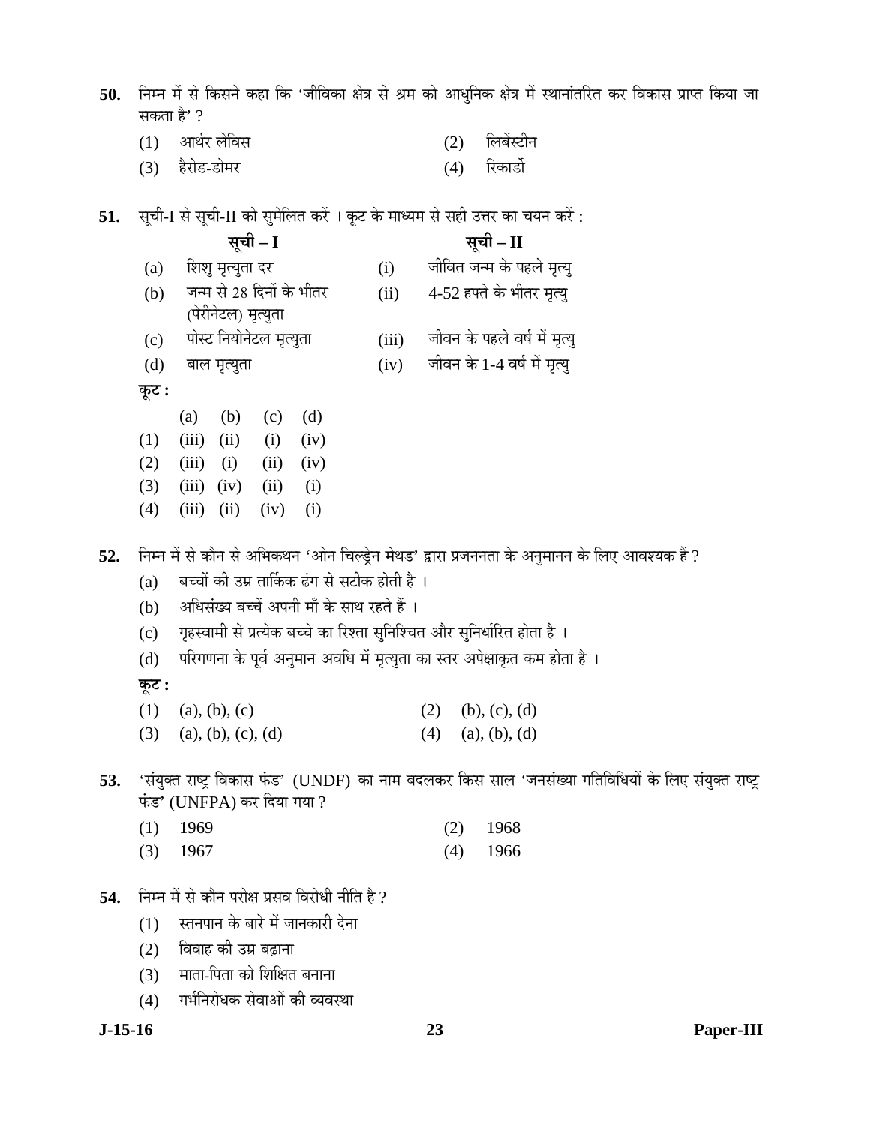50. निम्न में से किसने कहा कि 'जीविका क्षेत्र से श्रम को आधुनिक क्षेत्र में स्थानांतरित कर विकास प्राप्त किया जा सकता है' ?

- (1) †Ö£ÖÔ¸ü »Öê×¾ÖÃÖ (2) ×»Ö²ÖëÙüß®Ö
- (3) हैरोड-डोमर (4) रिकार्डो
- 51. सूची-I से सूची-II को सुमेलित करें । कूट के माध्यम से सही उत्तर का चयन करें :
	- **ÃÖæ"Öß I ÃÖæ"Öß II**  (a) शिश् मृत्युता दर (i) जीवित जन्म के पहले मृत्यू (b) जन्म से 28 दिनों के भीतर (पेरीनेटल) मृत्युता (ii) 4-52 हफ्ते के भीतर मृत्यू (c) पोस्ट नियोनेटल मृत्युता (iii) जीवन के पहले वर्ष में मृत्यु  $(d)$  बाल मृत्युता (iv) जीवन के 1-4 वर्ष में मृत्यु
	- $\overline{2}$ ः
	- (a) (b) (c) (d)  $(1)$   $(iii)$   $(ii)$   $(i)$   $(iv)$  $(2)$   $(iii)$   $(i)$   $(ii)$   $(iv)$  $(3)$   $(iii)$   $(iv)$   $(ii)$   $(i)$  $(4)$   $(iii)$   $(ii)$   $(iv)$   $(i)$
- 52. निम्न में से कौन से अभिकथन 'ओन चिल्ड्रेन मेथड' द्वारा प्रजननता के अनुमानन के लिए आवश्यक हैं ?
	- (a) बच्चों की उम्र तार्किक ढंग से सटीक होती है ।
	- (b) अधिसंख्य बच्चें अपनी माँ के साथ रहते हैं ।
	- (c) गृहस्वामी से प्रत्येक बच्चे का रिश्ता सुनिश्चित और सुनिर्धारित होता है)।
	- (d) परिगणना के पूर्व अनुमान अवधि में मृत्युता का स्तर अपेक्षाकृत कम होता है)।

**Ûæú™ü :** 

- (1) (a), (b), (c) (2) (b), (c), (d)
- (3) (a), (b), (c), (d) (4) (a), (b), (d)
- 53. 'संयुक्त राष्ट्र विकास फंड' (UNDF) का नाम बदलकर किस साल 'जनसंख्या गतिविधियों के लिए संयुक्त राष्ट्र फंड' (UNFPA) कर दिया गया ?
	- (1) 1969 (2) 1968
	- (3) 1967 (4) 1966
- 54. Fith में से कौन परोक्ष प्रसव विरोधी नीति है ?
	- $(1)$  स्तनपान के बारे में जानकारी देना
	- (2) विवाह की उम्र बढाना
	- (3) माता-पिता को शिक्षित बनाना
	- (4) गर्भनिरोधक सेवाओं की व्यवस्था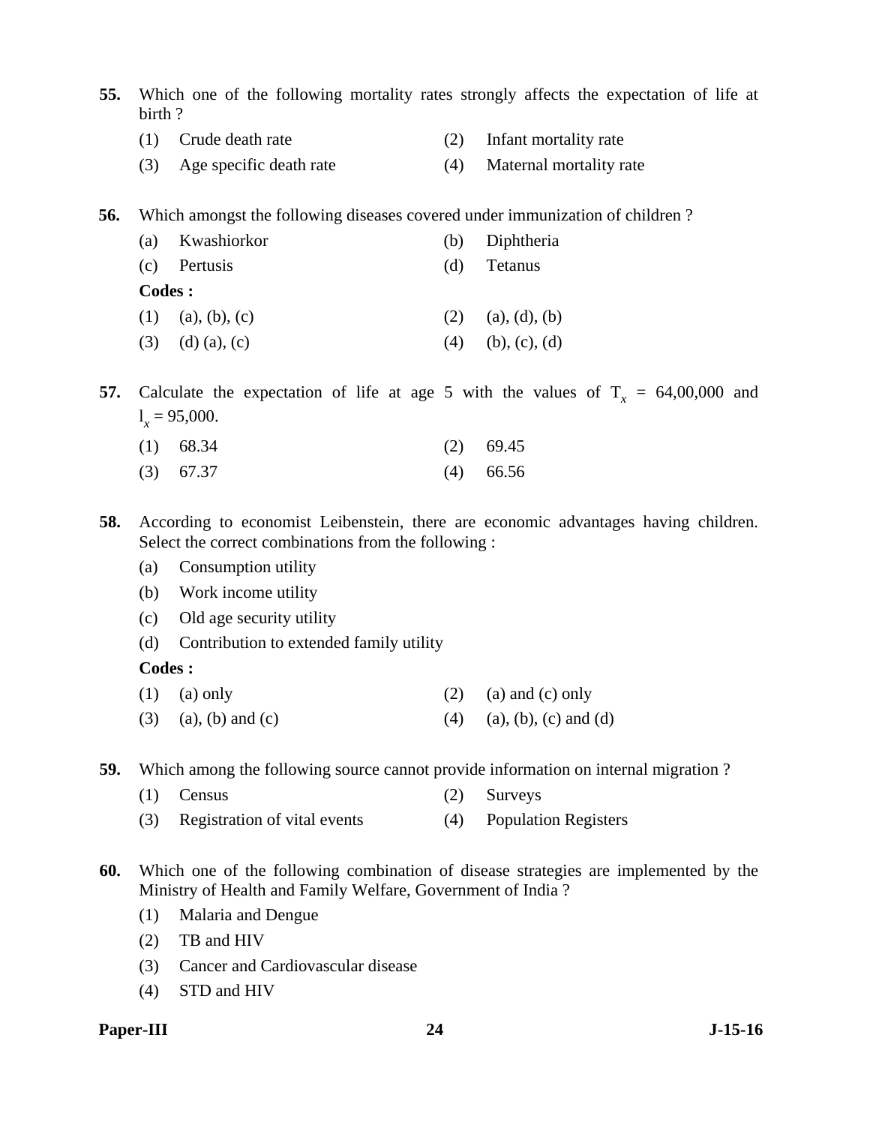- **55.** Which one of the following mortality rates strongly affects the expectation of life at birth ?
	- (1) Crude death rate (2) Infant mortality rate
	- (3) Age specific death rate (4) Maternal mortality rate

**56.** Which amongst the following diseases covered under immunization of children ?

|     | (b) Diphtheria      |
|-----|---------------------|
| (d) | Tetanus             |
|     |                     |
|     | $(2)$ (a), (d), (b) |
| (4) | (b), (c), (d)       |
|     |                     |

**57.** Calculate the expectation of life at age 5 with the values of  $T<sub>x</sub> = 64,00,000$  and  $l_x = 95,000.$ 

| $(1)$ 68.34 |  | $(2)$ 69.45 |
|-------------|--|-------------|
|             |  |             |

- (3) 67.37 (4) 66.56
- **58.** According to economist Leibenstein, there are economic advantages having children. Select the correct combinations from the following :
	- (a) Consumption utility
	- (b) Work income utility
	- (c) Old age security utility
	- (d) Contribution to extended family utility

#### **Codes :**

- (1) (a) only (2) (a) and (c) only
- (3) (a), (b) and (c) (4) (a), (b), (c) and (d)

**59.** Which among the following source cannot provide information on internal migration ?

- (1) Census (2) Surveys
- (3) Registration of vital events (4) Population Registers

**60.** Which one of the following combination of disease strategies are implemented by the Ministry of Health and Family Welfare, Government of India ?

- (1) Malaria and Dengue
- (2) TB and HIV
- (3) Cancer and Cardiovascular disease
- (4) STD and HIV

#### Paper-III 24 J-15-16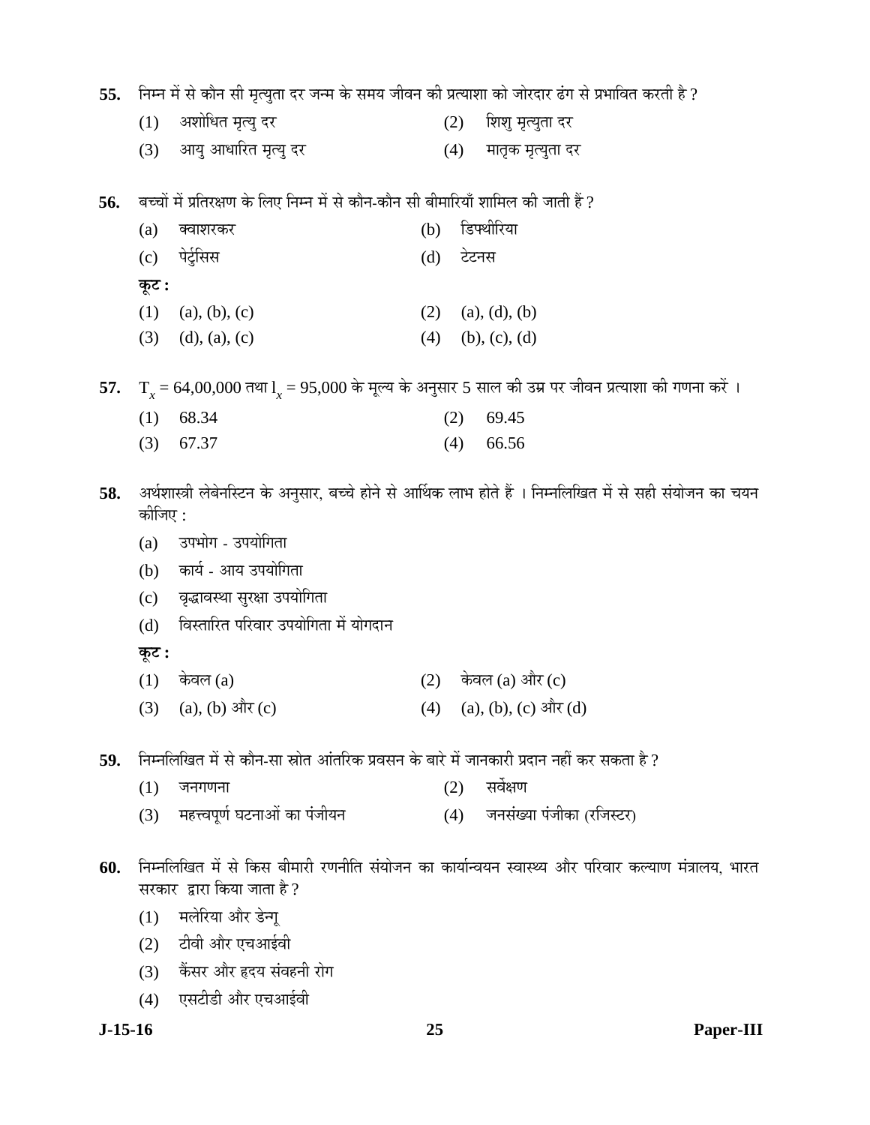55. Fiम्न में से कौन सी मृत्युता दर जन्म के समय जीवन की प्रत्याशा को जोरदार ढंग से प्रभावित करती है ?

- (1) अशोधित मृत्यु दर (2) शिशु मृत्युता दर
- (3) आयु आधारित मृत्यु दर (4) मातृक मृत्युता दर

 $\bf 56.$  बच्चों में प्रतिरक्षण के लिए निम्न में से कौन-कौन सी बीमारियाँ शामिल की जाती हैं ?

|       | (a) क्वाशरकर        | (b) डिफ्थीरिया      |
|-------|---------------------|---------------------|
|       | (c) पेर्टुसिस       | (d) टेटनस           |
| कूट : |                     |                     |
|       | $(1)$ (a), (b), (c) | $(2)$ (a), (d), (b) |

(3) (d), (a), (c) (4) (b), (c), (d)

**57.**  $T_x = 64,00,000$  तथा  $I_x = 95,000$  के मूल्य के अनुसार 5 साल की उम्र पर जीवन प्रत्याशा की गणना करें ।

| $(1)$ 68.34 | $(2)$ 69.45 |
|-------------|-------------|
| $(3)$ 67.37 | $(4)$ 66.56 |

58. अर्थशास्त्री लेबेनस्टिन के अनुसार, बच्चे होने से आर्थिक लाभ होते हैं । निम्नलिखित में से सही संयोजन का चयन कोजिए $\cdot$ 

- (a) उपभोग उपयोगिता
- (b) कार्य आय उपयोगिता
- (c) वृद्धावस्था सुरक्षा उपयोगिता
- (d) विस्तारित परिवार उपयोगिता में योगदान
- **Ûæú™ü :**
- $(1)$  केवल (a)  $(2)$  केवल (a) और (c)
- (3) (a), (b)  $\exists \pi$  (c) (4) (a), (b), (c)  $\exists \pi$  (d)
- 59. निम्नलिखित में से कौन-सा स्रोत आंतरिक प्रवसन के बारे में जानकारी प्रदान नहीं कर सकता है ?
	- $(1)$  जनगणना  $(2)$  सर्वेक्षण
	- (3) महत्त्वपूर्ण घटनाओं का पंजीयन (4) जनसंख्या पंजीका (रजिस्टर)
- $60.$  निम्नलिखित में से किस बीमारी रणनीति संयोजन का कार्यान्वयन स्वास्थ्य और परिवार कल्याण मंत्रालय, भारत सरकार द्वारा किया जाता है ?
	- (1) मलेरिया और डेन्गू
	- $(2)$   $\vec{c}$ विवी और एचआईवी
	- (3) केंसर और हृदय संवहनी रोग
	- (4) एसटीडी और एचआईवी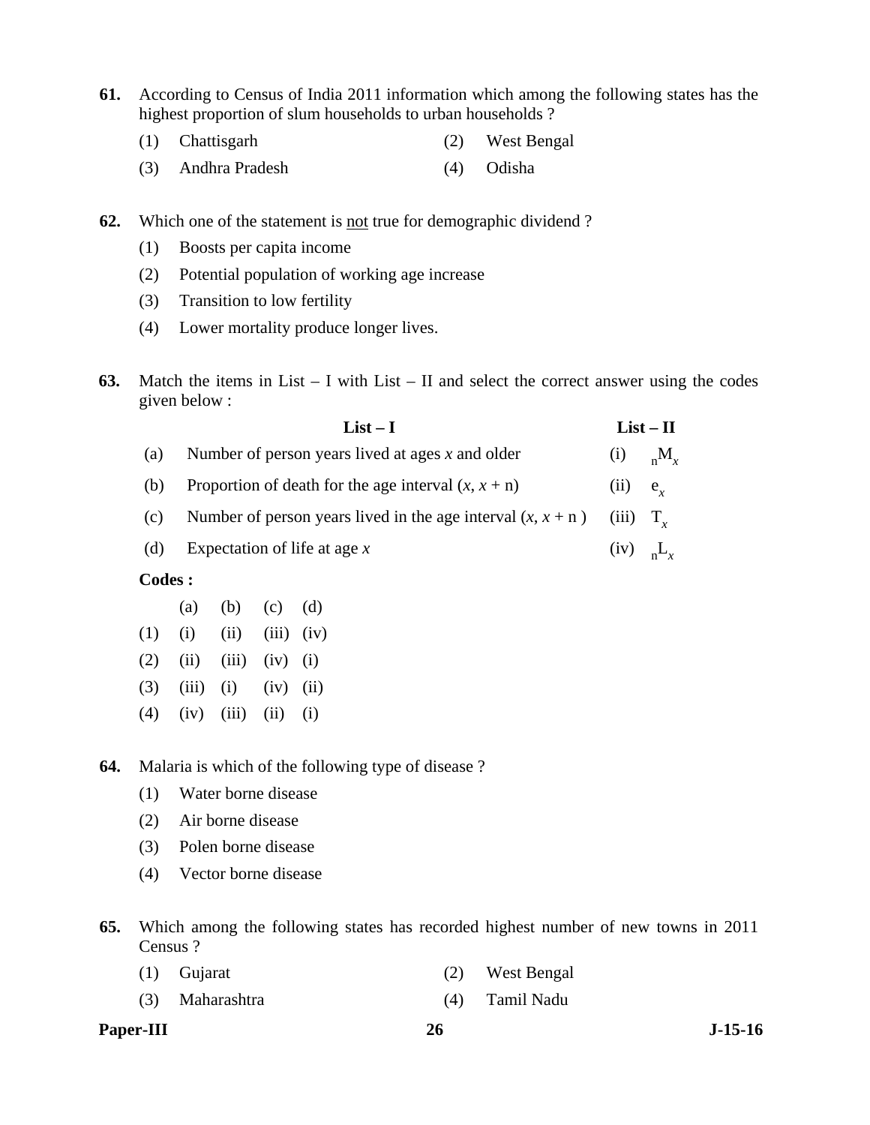- **61.** According to Census of India 2011 information which among the following states has the highest proportion of slum households to urban households ?
	- (1) Chattisgarh (2) West Bengal
	- (3) Andhra Pradesh (4) Odisha
- **62.** Which one of the statement is <u>not</u> true for demographic dividend?
	- (1) Boosts per capita income
	- (2) Potential population of working age increase
	- (3) Transition to low fertility
	- (4) Lower mortality produce longer lives.
- **63.** Match the items in List I with List II and select the correct answer using the codes given below :

|         | $List-II$                                                     |                                    |                   |
|---------|---------------------------------------------------------------|------------------------------------|-------------------|
| (a)     | Number of person years lived at ages $x$ and older            |                                    | (i) ${}_{n}M_{x}$ |
| (b)     | Proportion of death for the age interval $(x, x + n)$         | (ii)                               | $e_r$             |
| (c)     | Number of person years lived in the age interval $(x, x + n)$ | $(iii)$ $T_{\ast}$                 |                   |
| (d)     | Expectation of life at age $x$                                | $(iv)$ <sub>n</sub> L <sub>x</sub> |                   |
| Codes : |                                                               |                                    |                   |

- (a) (b) (c) (d)  $(1)$   $(i)$   $(ii)$   $(iii)$   $(iv)$  $(2)$   $(ii)$   $(iii)$   $(iv)$   $(i)$  $(3)$   $(iii)$   $(i)$   $(iv)$   $(ii)$
- $(4)$   $(iv)$   $(iii)$   $(ii)$   $(i)$

**64.** Malaria is which of the following type of disease ?

- (1) Water borne disease
- (2) Air borne disease
- (3) Polen borne disease
- (4) Vector borne disease
- **65.** Which among the following states has recorded highest number of new towns in 2011 Census ?

| $(1)$ Gujarat   | (2) West Bengal |
|-----------------|-----------------|
| (3) Maharashtra | (4) Tamil Nadu  |

Paper-III 26 J-15-16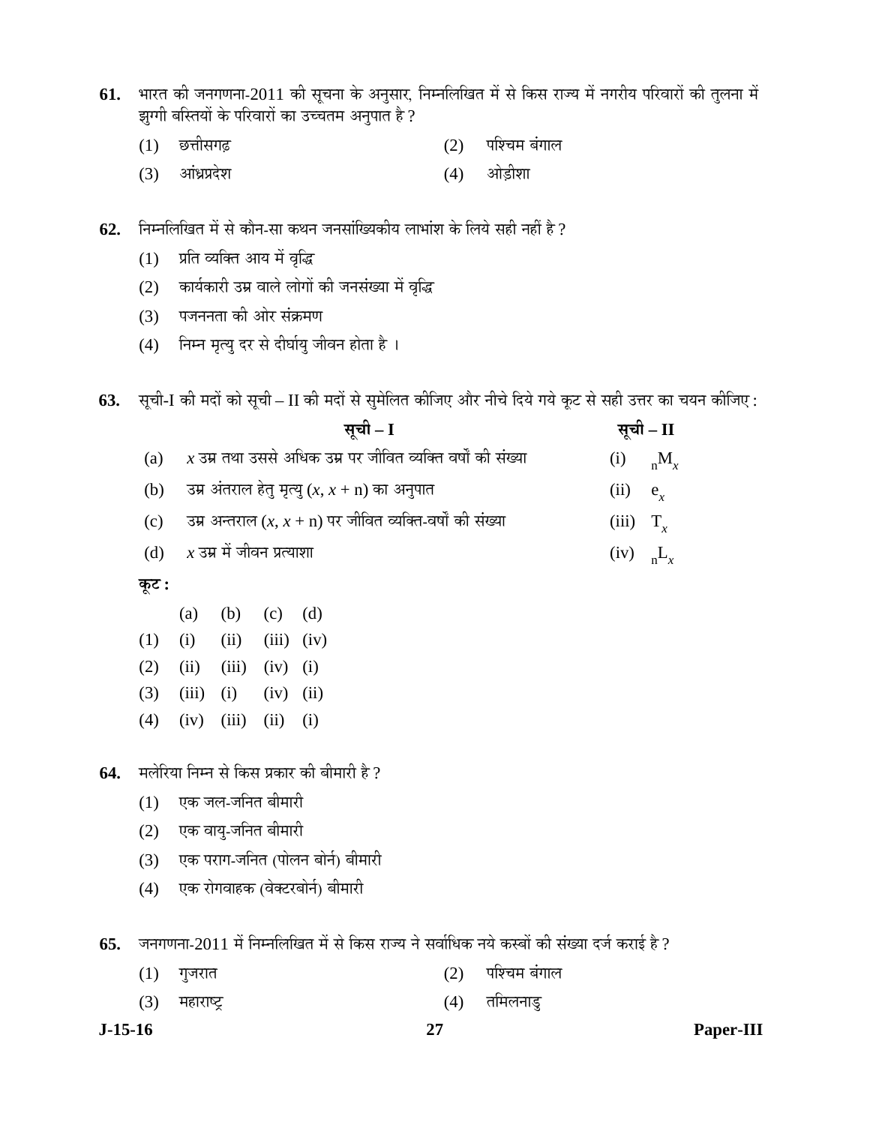- 61. भारत की जनगणना-2011 की सूचना के अनुसार, निम्नलिखित में से किस राज्य में नगरीय परिवारों की तुलना में झुग्गी बस्तियों के परिवारों का उच्चतम अनुपात है ?
	- $(1)$  छत्तीसगढ़  $(2)$  पश्चिम बंगाल
	- (3) आंध्रप्रदेश (4) ओड़ीशा
- **62.** निम्नलिखित में से कौन-सा कथन जनसांख्यिकीय लाभांश के लिये सही नहीं है ?
	- (1) प्रति व्यक्ति आय में वृद्धि
	- (2) कार्यकारी उम्र वाले लोगों की जनसंख्या में वृद्धि
	- (3) पजननता की ओर संक्रमण
	- (4) निम्न मृत्यु दर से दीर्घायु जीवन होता है ।

63. सूची-I की मदों को सूची – II की मदों से सुमेलित कीजिए और नीचे दिये गये कूट से सही उत्तर का चयन कीजिए :

|     | सची – $\mathbf I$                                                                  |                    | सूची – II                   |
|-----|------------------------------------------------------------------------------------|--------------------|-----------------------------|
| (a) | $\overline{\mathcal{X}}$ उम्र तथा उससे अधिक उम्र पर जीवित व्यक्ति वर्षों की संख्या |                    | $(i)$ $_{n}$ M <sub>r</sub> |
|     | (b) उम्र अंतराल हेतु मृत्यु $(x, x + n)$ का अनुपात                                 | $(ii)$ $e_r$       |                             |
|     | (c) उम्र अन्तराल $(x, x + n)$ पर जीवित व्यक्ति-वर्षों की संख्या                    | $(iii)$ $T_r$      |                             |
|     | (d) $x \overline{3}$ म में जीवन प्रत्याशा                                          | $(iv)$ $_{n}L_{r}$ |                             |

 $\Phi$ **:** 

|  | (a) (b) (c) (d)                     |  |
|--|-------------------------------------|--|
|  | $(1)$ $(ii)$ $(iii)$ $(iii)$ $(iv)$ |  |
|  | $(2)$ $(ii)$ $(iii)$ $(iv)$ $(i)$   |  |
|  | $(3)$ $(iii)$ $(i)$ $(iv)$ $(ii)$   |  |
|  | $(4)$ $(iv)$ $(iii)$ $(ii)$ $(i)$   |  |

**64.** मलेरिया निम्न से किस प्रकार की बीमारी है ?

- $(1)$  एक जल-जनित बीमारी
- (2) एक वायू-जनित बीमारी
- (3) एक पराग-जनित (पोलन बोर्न) बीमारी
- (4) एक रोगवाहक (वेक्टरबोर्न) बीमारी

65. • जनगणना-2011 में निम्नलिखित में से किस राज्य ने सर्वाधिक नये कस्बों की संख्या दर्ज कराई है ?

- $(1)$  गुजरात  $(2)$  पश्चिम बंगाल
- (3) महाराष्ट्र (4) तमिलनाडु

**J-15-16 27 Paper-III**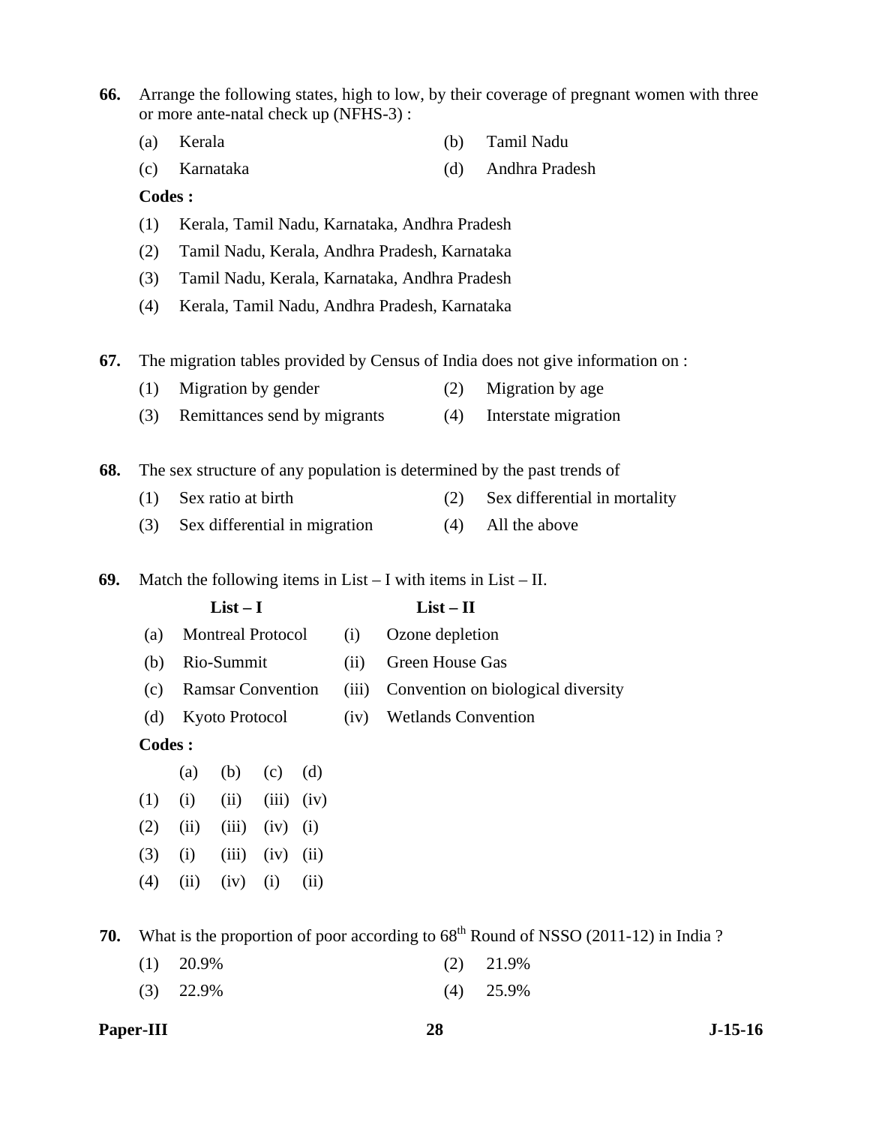| 66. | Arrange the following states, high to low, by their coverage of pregnant women with three<br>or more ante-natal check up (NFHS-3): |                                               |                               |       |      |       |                                               |                            |                                                                                      |  |  |  |  |
|-----|------------------------------------------------------------------------------------------------------------------------------------|-----------------------------------------------|-------------------------------|-------|------|-------|-----------------------------------------------|----------------------------|--------------------------------------------------------------------------------------|--|--|--|--|
|     | (a)                                                                                                                                | Kerala                                        |                               |       |      | (b)   |                                               |                            | Tamil Nadu                                                                           |  |  |  |  |
|     | (c)                                                                                                                                |                                               | Karnataka                     |       |      |       |                                               | (d)                        | Andhra Pradesh                                                                       |  |  |  |  |
|     | Codes:                                                                                                                             |                                               |                               |       |      |       |                                               |                            |                                                                                      |  |  |  |  |
|     | (1)                                                                                                                                | Kerala, Tamil Nadu, Karnataka, Andhra Pradesh |                               |       |      |       |                                               |                            |                                                                                      |  |  |  |  |
|     | (2)                                                                                                                                | Tamil Nadu, Kerala, Andhra Pradesh, Karnataka |                               |       |      |       |                                               |                            |                                                                                      |  |  |  |  |
|     | (3)                                                                                                                                | Tamil Nadu, Kerala, Karnataka, Andhra Pradesh |                               |       |      |       |                                               |                            |                                                                                      |  |  |  |  |
|     | (4)                                                                                                                                |                                               |                               |       |      |       | Kerala, Tamil Nadu, Andhra Pradesh, Karnataka |                            |                                                                                      |  |  |  |  |
| 67. |                                                                                                                                    |                                               |                               |       |      |       |                                               |                            | The migration tables provided by Census of India does not give information on :      |  |  |  |  |
|     | (1)                                                                                                                                |                                               | Migration by gender           |       |      |       |                                               | (2)                        | Migration by age                                                                     |  |  |  |  |
|     | (3)                                                                                                                                |                                               | Remittances send by migrants  |       |      |       |                                               | (4)                        | Interstate migration                                                                 |  |  |  |  |
|     |                                                                                                                                    |                                               |                               |       |      |       |                                               |                            |                                                                                      |  |  |  |  |
| 68. |                                                                                                                                    |                                               |                               |       |      |       |                                               | (2)                        | The sex structure of any population is determined by the past trends of              |  |  |  |  |
|     | Sex ratio at birth<br>(1)                                                                                                          |                                               |                               |       |      |       | Sex differential in mortality                 |                            |                                                                                      |  |  |  |  |
|     | (3)                                                                                                                                |                                               | Sex differential in migration |       |      |       |                                               | (4)                        | All the above                                                                        |  |  |  |  |
| 69. |                                                                                                                                    |                                               |                               |       |      |       |                                               |                            | Match the following items in $List - I$ with items in $List - II$ .                  |  |  |  |  |
|     |                                                                                                                                    | $List-I$<br>$List - II$                       |                               |       |      |       |                                               |                            |                                                                                      |  |  |  |  |
|     | (a)                                                                                                                                |                                               | <b>Montreal Protocol</b>      |       |      | (i)   | Ozone depletion                               |                            |                                                                                      |  |  |  |  |
|     | (b)                                                                                                                                |                                               | Rio-Summit                    |       |      | (ii)  | Green House Gas                               |                            |                                                                                      |  |  |  |  |
|     | (c)                                                                                                                                |                                               | <b>Ramsar Convention</b>      |       |      | (iii) | Convention on biological diversity            |                            |                                                                                      |  |  |  |  |
|     | (d)                                                                                                                                | Kyoto Protocol                                |                               |       |      | (iv)  |                                               | <b>Wetlands Convention</b> |                                                                                      |  |  |  |  |
|     | <b>Codes:</b>                                                                                                                      |                                               |                               |       |      |       |                                               |                            |                                                                                      |  |  |  |  |
|     |                                                                                                                                    | (a)                                           | (b)                           | (c)   | (d)  |       |                                               |                            |                                                                                      |  |  |  |  |
|     | (1)                                                                                                                                | (i)                                           | (ii)                          | (iii) | (iv) |       |                                               |                            |                                                                                      |  |  |  |  |
|     | (2)                                                                                                                                | (ii)                                          | (iii)                         | (iv)  | (i)  |       |                                               |                            |                                                                                      |  |  |  |  |
|     | (3)                                                                                                                                | (i)                                           | (iii)                         | (iv)  | (ii) |       |                                               |                            |                                                                                      |  |  |  |  |
|     | (4)                                                                                                                                | (ii)                                          | (iv)                          | (i)   | (ii) |       |                                               |                            |                                                                                      |  |  |  |  |
| 70. |                                                                                                                                    |                                               |                               |       |      |       |                                               |                            | What is the proportion of poor according to $68th$ Round of NSSO (2011-12) in India? |  |  |  |  |

(1) 20.9% (2) 21.9%

(3) 22.9% (4) 25.9%

**Paper-III** 28 J-15-16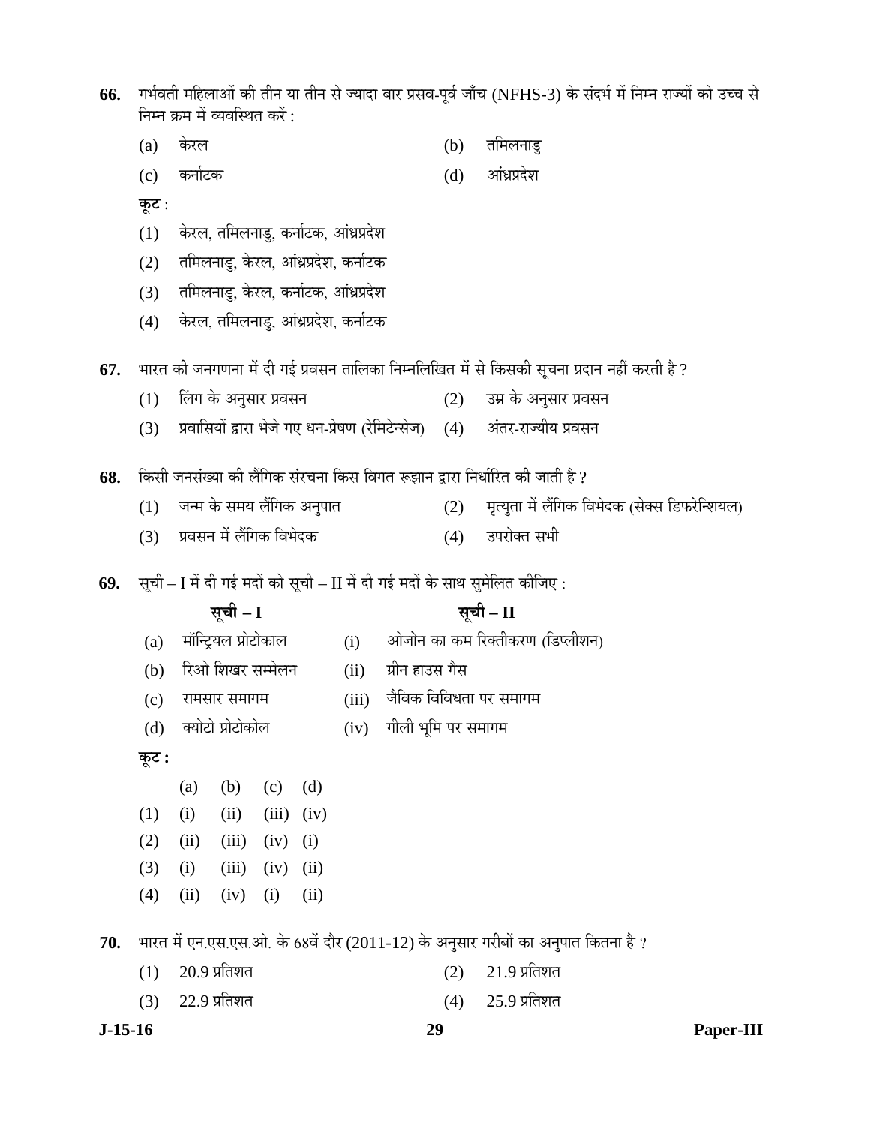| 66. | गर्भवती महिलाओं की तीन या तीन से ज्यादा बार प्रसव-पूर्व जाँच (NFHS-3) के संदर्भ में निम्न राज्यों को उच्च से<br>निम्न क्रम में व्यवस्थित करें : |                                      |                                      |       |      |       |                    |     |                                                                                   |  |  |  |
|-----|-------------------------------------------------------------------------------------------------------------------------------------------------|--------------------------------------|--------------------------------------|-------|------|-------|--------------------|-----|-----------------------------------------------------------------------------------|--|--|--|
|     | (a)                                                                                                                                             | केरल                                 |                                      |       |      |       |                    | (b) | तमिलनाडु                                                                          |  |  |  |
|     | (c)                                                                                                                                             | कर्नाटक                              |                                      |       |      |       |                    | (d) | आंध्रप्रदेश                                                                       |  |  |  |
|     | कूट :                                                                                                                                           |                                      |                                      |       |      |       |                    |     |                                                                                   |  |  |  |
|     | (1)                                                                                                                                             |                                      | केरल, तमिलनाडु, कर्नाटक, आंध्रप्रदेश |       |      |       |                    |     |                                                                                   |  |  |  |
|     | (2)                                                                                                                                             | तमिलनाडु, केरल, आंध्रप्रदेश, कर्नाटक |                                      |       |      |       |                    |     |                                                                                   |  |  |  |
|     | (3)                                                                                                                                             | तमिलनाडु, केरल, कर्नाटक, आंध्रप्रदेश |                                      |       |      |       |                    |     |                                                                                   |  |  |  |
|     | (4)                                                                                                                                             |                                      | केरल, तमिलनाडु, आंध्रप्रदेश, कर्नाटक |       |      |       |                    |     |                                                                                   |  |  |  |
| 67. | भारत की जनगणना में दी गई प्रवसन तालिका निम्नलिखित में से किसकी सूचना प्रदान नहीं करती है ?                                                      |                                      |                                      |       |      |       |                    |     |                                                                                   |  |  |  |
|     | (1)                                                                                                                                             |                                      | लिंग के अनुसार प्रवसन                |       |      |       |                    | (2) | उम्र के अनुसार प्रवसन                                                             |  |  |  |
|     | (3)                                                                                                                                             |                                      |                                      |       |      |       |                    |     | प्रवासियों द्वारा भेजे गए धन-प्रेषण (रेमिटेन्सेज) (4) अंतर-राज्यीय प्रवसन         |  |  |  |
| 68. |                                                                                                                                                 |                                      |                                      |       |      |       |                    |     | किसी जनसंख्या की लैंगिक संरचना किस विगत रूझान द्वारा निर्धारित की जाती है ?       |  |  |  |
|     | (1)                                                                                                                                             |                                      | जन्म के समय लैंगिक अनुपात            |       |      |       |                    | (2) | मृत्युता में लैंगिक विभेदक (सेक्स डिफरेन्शियल)                                    |  |  |  |
|     | (3)                                                                                                                                             |                                      | प्रवसन में लैंगिक विभेदक             |       |      |       |                    | (4) | उपरोक्त सभी                                                                       |  |  |  |
|     |                                                                                                                                                 |                                      |                                      |       |      |       |                    |     |                                                                                   |  |  |  |
| 69. |                                                                                                                                                 |                                      |                                      |       |      |       |                    |     | सूची – I में दी गई मदों को सूची – II में दी गई मदों के साथ सुमेलित कीजिए :        |  |  |  |
|     |                                                                                                                                                 |                                      | सूची – I                             |       |      |       | सूची – II          |     |                                                                                   |  |  |  |
|     | (a)                                                                                                                                             |                                      | मॉन्ट्रियल प्रोटोकाल                 |       |      |       |                    |     | (i) आेजोन का कम रिक्तीकरण (डिप्लीशन)                                              |  |  |  |
|     | (b)                                                                                                                                             |                                      | रिओ शिखर सम्मेलन                     |       |      | (ii)  | ग्रीन हाउस गैस     |     |                                                                                   |  |  |  |
|     | (c)                                                                                                                                             |                                      | रामसार समागम                         |       |      | (iii) |                    |     | जैविक विविधता पर समागम                                                            |  |  |  |
|     | (d)                                                                                                                                             |                                      | क्योटो प्रोटोकोल                     |       |      | (iv)  | गीली भूमि पर समागम |     |                                                                                   |  |  |  |
|     | कूट :                                                                                                                                           |                                      |                                      |       |      |       |                    |     |                                                                                   |  |  |  |
|     |                                                                                                                                                 | (a)                                  | (b)                                  | (c)   | (d)  |       |                    |     |                                                                                   |  |  |  |
|     | (1)                                                                                                                                             | (i)                                  | (ii)                                 | (iii) | (iv) |       |                    |     |                                                                                   |  |  |  |
|     | (2)                                                                                                                                             | (ii)                                 | (iii)                                | (iv)  | (i)  |       |                    |     |                                                                                   |  |  |  |
|     | (3)                                                                                                                                             | (i)                                  | (iii)                                | (iv)  | (ii) |       |                    |     |                                                                                   |  |  |  |
|     | (4)                                                                                                                                             | (ii)                                 | (iv)                                 | (i)   | (ii) |       |                    |     |                                                                                   |  |  |  |
| 70. |                                                                                                                                                 |                                      |                                      |       |      |       |                    |     | भारत में एन.एस.एस.ओ. के 68वें दौर (2011-12) के अनुसार गरीबों का अनुपात कितना है ? |  |  |  |
|     | (1)                                                                                                                                             | $20.9$ प्रतिशत                       |                                      |       |      |       |                    | (2) | $21.9$ प्रतिशत                                                                    |  |  |  |
|     | (3)                                                                                                                                             | $22.9$ प्रतिशत                       |                                      |       |      |       |                    |     | $25.9$ प्रतिशत                                                                    |  |  |  |

**J-15-16 29 Paper-III**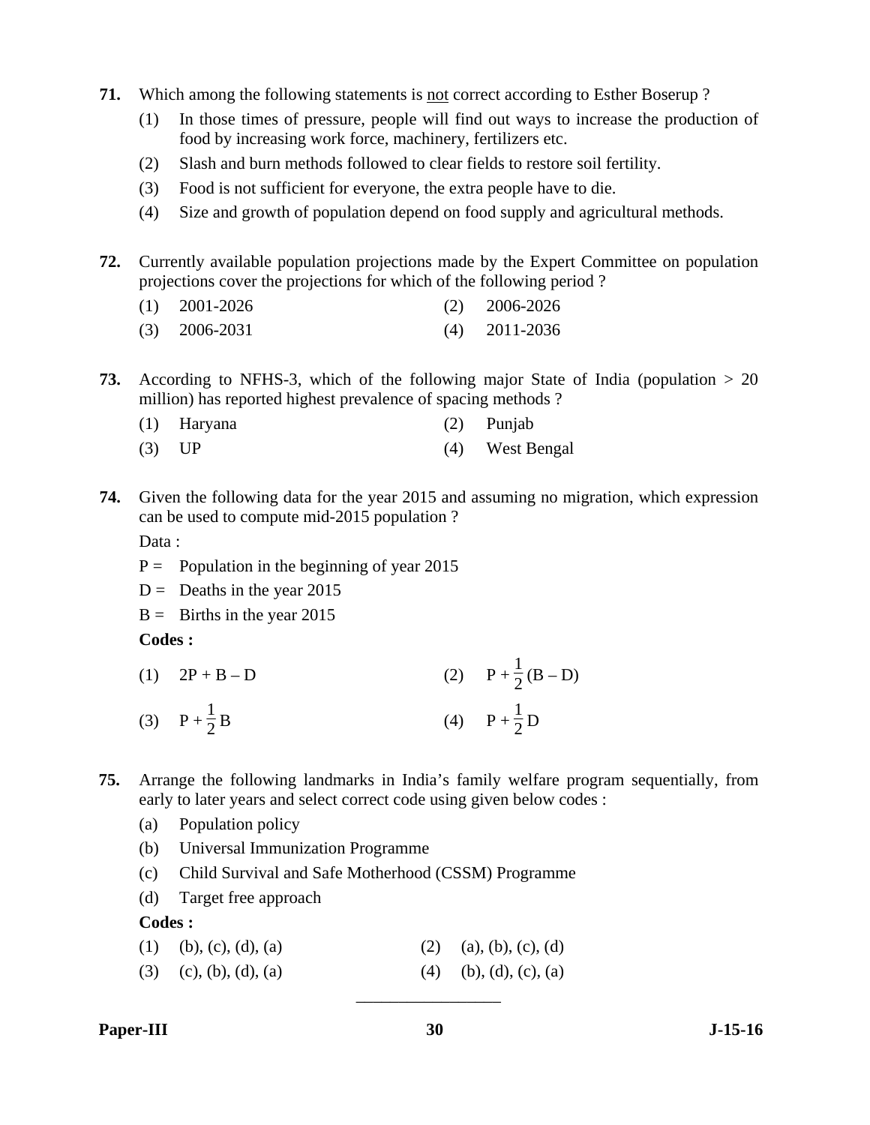- **71.** Which among the following statements is not correct according to Esther Boserup ?
	- (1) In those times of pressure, people will find out ways to increase the production of food by increasing work force, machinery, fertilizers etc.
	- (2) Slash and burn methods followed to clear fields to restore soil fertility.
	- (3) Food is not sufficient for everyone, the extra people have to die.
	- (4) Size and growth of population depend on food supply and agricultural methods.
- **72.** Currently available population projections made by the Expert Committee on population projections cover the projections for which of the following period ?
	- (1) 2001-2026 (2) 2006-2026
	- (3) 2006-2031 (4) 2011-2036
- **73.** According to NFHS-3, which of the following major State of India (population > 20 million) has reported highest prevalence of spacing methods ?
	- (1) Haryana (2) Punjab
	- (3) UP (4) West Bengal
- **74.** Given the following data for the year 2015 and assuming no migration, which expression can be used to compute mid-2015 population ?

Data:

- $P =$  Population in the beginning of year 2015
- $D =$  Deaths in the year 2015

 $B =$  Births in the year 2015

**Codes :** 

- (1)  $2P + B D$  (2)  $P + \frac{1}{2}(B D)$ (3)  $P + \frac{1}{2}B$  $\frac{1}{2}B$  (4)  $P + \frac{1}{2}D$
- **75.** Arrange the following landmarks in India's family welfare program sequentially, from early to later years and select correct code using given below codes :
	- (a) Population policy
	- (b) Universal Immunization Programme
	- (c) Child Survival and Safe Motherhood (CSSM) Programme
	- (d) Target free approach

**Codes :** 

(3) (c), (b), (d), (a) (4) (b), (d), (c), (a)

\_\_\_\_\_\_\_\_\_\_\_\_\_\_\_\_\_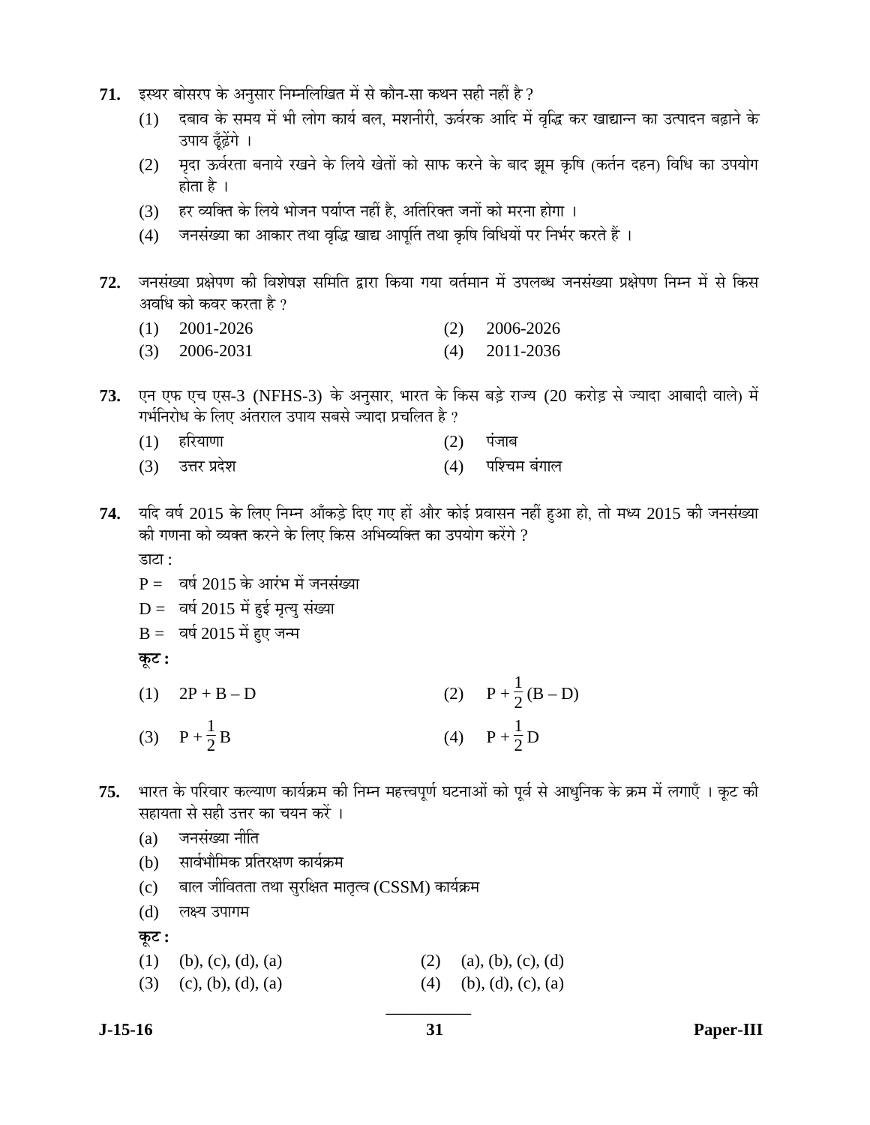- 71. इस्थर बोसरप के अनुसार निम्नलिखित में से कौन-सा कथन सही नहीं है ?
	- (1) दबाव के समय में भी लोग कार्य बल, मशनीरी, ऊर्वरक आदि में वृद्धि कर खाद्यान्न का उत्पादन बढ़ाने के उपाय ढँढेंगे ।
	- (2) मदा ऊर्वरता बनाये रखने के लिये खेतों को साफ करने के बाद झम कृषि (कर्तन दहन) विधि का उपयोग होता है $\perp$
	- (3) हर व्यक्ति के लिये भोजन पर्याप्त नहीं है, अतिरिक्त जनों को मरना होगा ।
	- (4) जनसंख्या का आकार तथा वृद्धि खाद्य आपूर्ति तथा कृषि विधियों पर निर्भर करते हैं ।
- 72. जनसंख्या प्रक्षेपण की विशेषज्ञ समिति द्वारा किया गया वर्तमान में उपलब्ध जनसंख्या प्रक्षेपण निम्न में से किस अवधि को कवर करता है ?
	- (1) 2001-2026 (2) 2006-2026
	- (3) 2006-2031 (4) 2011-2036
- **73.** एन एफ एच एस-3 (NFHS-3) के अनुसार, भारत के किस बड़े राज्य (20 करोड़ से ज्यादा आबादी वाले) में गर्भनिरोध के लिए अंतराल उपाय सबसे ज्यादा प्रचलित है ?
	- $(1)$  हरियाणा  $(2)$  पंजाब
	- (3) उत्तर प्रदेश चिक्री करती हो उत्तर प्रदेश करती हो। उत्तर प्रदेश करती हो उत्तर करती हो अपने उत्तर अपने अपने
- 74. यदि वर्ष 2015 के लिए निम्न आँकड़े दिए गए हों और कोई प्रवासन नहीं हुआ हो, तो मध्य 2015 की जनसंख्या की गणना को व्यक्त करने के लिए किस अभिव्यक्ति का उपयोग करेंगे ? डाटा $\cdot$ 
	- $P = \overline{q}$ वर्ष 2015 के आरंभ में जनसंख्या
	- $D = \vec{a}$ र्ष 2015 में हुई मृत्यु संख्या
	- $B = \overline{a}$ र्ष 2015 में हुए जन्म

**Ûæú™ü :** 

- (1)  $2P + B D$  (2)  $P + \frac{1}{2}(B D)$ (3)  $P + \frac{1}{2}B$  $\frac{1}{2}B$  (4)  $P + \frac{1}{2}D$
- $75.$  भारत के परिवार कल्याण कार्यक्रम की निम्न महत्त्वपूर्ण घटनाओं को पूर्व से आधुनिक के क्रम में लगाएँ । कुट की सहायता से सही उत्तर का चयन करें ।
	- $(a)$  जनसंख्या नीति
	- (b) सार्वभौमिक प्रतिरक्षण कार्यक्रम
	- (c) बाल जीवितता तथा सुरक्षित मातृत्व (CSSM) कार्यक्रम

(d) लक्ष्य उपागम

**Ûæú™ü :** 

- (1) (b), (c), (d), (a) (2) (a), (b), (c), (d)
- (3) (c), (b), (d), (a) (4) (b), (d), (c), (a)